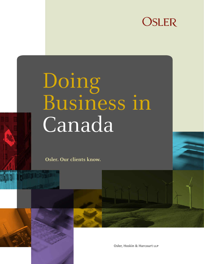

# Doing Business in Canada

**Osler. Our clients know.**



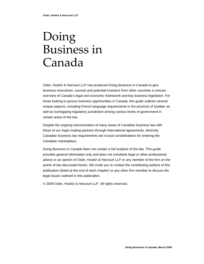## Doing Business in Canada

Osler, Hoskin & Harcourt LLP has produced *Doing Business in Canada* to give business executives, counsel and potential investors from other countries a concise overview of Canada's legal and economic framework and key business legislation. For those looking to pursue business opportunities in Canada, this guide outlines several unique aspects, including French language requirements in the province of Québec as well as overlapping regulatory jurisdiction among various levels of government in certain areas of the law.

Despite the ongoing harmonization of many areas of Canadian business law with those of our major trading partners through international agreements, distinctly Canadian business law requirements are crucial considerations for entering the Canadian marketplace.

*Doing Business in Canada* does not contain a full analysis of the law. This guide provides general information only and does not constitute legal or other professional advice or an opinion of Osler, Hoskin & Harcourt LLP or any member of the firm on the points of law discussed herein. We invite you to contact the contributing authors of this publication (listed at the end of each chapter) or any other firm member to discuss the legal issues outlined in this publication.

© 2009 Osler, Hoskin & Harcourt LLP. All rights reserved.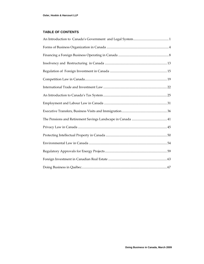#### <span id="page-2-0"></span>**TABLE OF CONTENTS**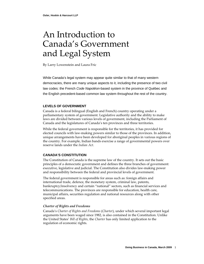### <span id="page-3-0"></span>An Introduction to Canada's Government and Legal System

By Larry Lowenstein and Laura Fric

While Canada's legal system may appear quite similar to that of many western democracies, there are many unique aspects to it, including the presence of two civil law codes: the French *Code Napoléon-*based system in the province of Québec and the English precedent-based common law system throughout the rest of the country.

#### **LEVELS OF GOVERNMENT**

Canada is a federal bilingual (English and French) country operating under a parliamentary system of government. Legislative authority and the ability to make laws are divided between various levels of government, including the Parliament of Canada and the legislatures of Canada's ten provinces and three territories.

While the federal government is responsible for the territories, it has provided for elected councils with law‐making powers similar to those of the provinces. In addition, unique arrangements have been developed for aboriginal peoples in various regions of the country. For example, Indian bands exercise a range of governmental powers over reserve lands under the *Indian Act*.

#### **CANADA'S CONSTITUTION**

The Constitution of Canada is the supreme law of the country. It sets out the basic principles of a democratic government and defines the three branches of government: executive, legislative and judicial. The Constitution also divides law‐making power and responsibility between the federal and provincial levels of government.

The federal government is responsible for areas such as: foreign affairs and international trade, defence, the monetary system, criminal law, patents, bankruptcy/insolvency and certain "national" sectors, such as financial services and telecommunications. The provinces are responsible for education, health care, municipal affairs, securities regulation and national resources along with other specified areas.

#### *Charter of Rights and Freedoms*

Canada's *Charter of Rights and Freedoms* (*Charter*), under which several important legal arguments have been waged since 1982, is also contained in the Constitution. Unlike the United States' *Bill of Rights*, the *Charter* has only limited application to the regulation of economic rights.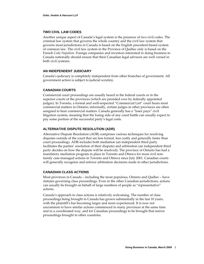#### **TWO CIVIL LAW CODES**

Another unique aspect of Canada's legal system is the presence of two civil codes. The criminal law system that governs the whole country and the civil law system that governs most jurisdictions in Canada is based on the English precedent‐based system of common law. The civil law system in the Province of Québec only is based on the French *Code Napoléon.* Foreign companies and investors interested in doing business in Canada nationally should ensure that their Canadian legal advisors are well versed in both civil systems.

#### **AN INDEPENDENT JUDICIARY**

Canada's judiciary is completely independent from other branches of government. All government action is subject to judicial scrutiny.

#### **CANADIAN COURTS**

Commercial court proceedings are usually heard in the federal courts or in the superior courts of the provinces (which are presided over by federally appointed judges). In Toronto, a formal and well-respected "Commercial List" court hears most commercial matters in Ontario; informally, certain judges in other provinces are often assigned to hear commercial matters. Canada generally has a "loser pays" civil litigation system, meaning that the losing side of any court battle can usually expect to pay some portion of the successful party's legal costs.

#### **ALTERNATIVE DISPUTE RESOLUTION (ADR)**

Alternative Dispute Resolution (ADR) comprises various techniques for resolving disputes outside of the court that are less formal, less costly and generally faster than court proceedings. ADR includes both mediation (an independent third party facilitates the parties' resolution of their dispute) and arbitration (an independent third party decides on how the dispute will be resolved). The province of Ontario has had a mandatory mediation program in place in Toronto and Ottawa for most civil non‐ family case‐managed actions in Toronto and Ottawa since July 2001. Canadian courts will generally recognize and enforce arbitration decisions made in other jurisdictions.

#### **CANADIAN CLASS ACTIONS**

Most provinces in Canada – including the most populous, Ontario and Québec – have statutes governing class proceedings. Even in the other Canadian jurisdictions, actions can usually be brought on behalf of large numbers of people as "representative" actions.

Canada's approach to class actions is relatively welcoming. The number of class proceedings being brought in Canada has grown substantially in the last 10 years, with the plaintiff's bar becoming larger and more experienced. It is now not uncommon to have similar actions commenced in many provinces at the same time and in a coordinated way, and for Canadian proceedings to be brought that mirror proceedings brought in other countries.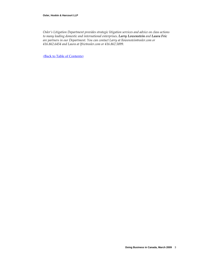#### **Osler, Hoskin & Harcourt LLP**

*Osler's Litigation Department provides strategic litigation services and advice on class actions to many leading domestic and international enterprises. Larry Lowenstein and Laura Fric are partners in our Department. You can contact Larry at [llowenstein@osler.com](mailto:llowenstein@osler.com) or 416.862.6454 and Laura at [lfric@osler.com](mailto:lfric@osler.com) or 416.862.5899.*

<Back to Table of [Contents>](#page-2-0)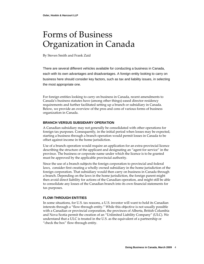### <span id="page-6-0"></span>Forms of Business Organization in Canada

By Steven Smith and Frank Zaid

There are several different vehicles available for conducting a business in Canada, each with its own advantages and disadvantages. A foreign entity looking to carry on business here should consider key factors, such as tax and liability issues, in selecting the most appropriate one.

For foreign entities looking to carry on business in Canada, recent amendments to Canada's business statutes have (among other things) eased director residency requirements and further facilitated setting up a branch or subsidiary in Canada. Below, we provide an overview of the pros and cons of various forms of business organization in Canada.

#### **BRANCH VERSUS SUBSIDIARY OPERATION**

A Canadian subsidiary may not generally be consolidated with other operations for foreign tax purposes. Consequently, in the initial period when losses may be expected, starting a business through a branch operation would permit losses in Canada to be offset against income in the home jurisdiction.

Use of a branch operation would require an application for an extra‐provincial licence describing the structure of the applicant and designating an "agent for service" in the province. The business or corporate name under which the licence is to be granted must be approved by the applicable provincial authority.

Since the use of a branch subjects the foreign corporation to provincial and federal laws, consider first creating a wholly owned subsidiary in the home jurisdiction of the foreign corporation. That subsidiary would then carry on business in Canada through a branch. Depending on the laws in the home jurisdiction, the foreign parent might then avoid direct liability for actions of the Canadian operation, and might still be able to consolidate any losses of the Canadian branch into its own financial statements for tax purposes.

#### **FLOW-THROUGH ENTITIES**

In some situations, for U.S. tax reasons, a U.S. investor will want to hold its Canadian interests through a "flow‐through entity." While this objective is not usually possible with a Canadian or provincial corporation, the provinces of Alberta, British Columbia and Nova Scotia permit the creation of an "Unlimited Liability Company" (ULC). We understand that a ULC is treated in the U.S. as the equivalent of a partnership or "check the box" flow‐through entity.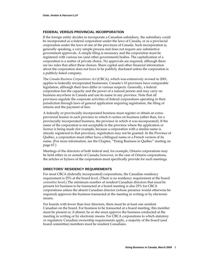#### **FEDERAL VERSUS PROVINCIAL INCORPORATION**

If the foreign entity decides to incorporate a Canadian subsidiary, the subsidiary could be incorporated as a federal corporation under the laws of Canada, or as a provincial corporation under the laws of one of the provinces of Canada. Such incorporation is, generally speaking, a very simple process and does not require any substantive government approvals. A simple filing is necessary and the corporation must be registered with various tax (and other government) bodies. The capitalization of a corporation is a matter of private choice. No approvals are required, although there are tax rules that affect these choices. Share capital and other financial information about the corporation does not have to be publicly disclosed unless the corporation is a publicly‐listed company.

The *Canada Business Corporations Act* (CBCA), which was extensively revised in 2001, applies to federally incorporated businesses. Canada's 10 provinces have comparable legislation, although their laws differ in various respects. Generally, a federal corporation has the capacity and the power of a natural person and may carry on business anywhere in Canada and use its name in any province. Note that all provinces regulate the corporate activities of federal corporations operating in their jurisdiction through laws of general application requiring registration, the filing of returns and the payment of fees.

A federally or provincially incorporated business must register or obtain an extra‐ provincial licence in each province in which it carries on business (other than, for a provincially incorporated business, the province in which it was incorporated). If the name of the corporation is not acceptable in the province where the application or licence is being made (for example, because a corporation with a similar name is already registered in that province), registration may not be granted. In the Province of Québec, a corporation must either have a bilingual name or a French version of its name. (For more information, see the Chapter, "Doing Business in Québec" starting on page [67](#page-69-1).)

Meetings of the directors of both federal and, for example, Ontario corporations may be held either in or outside of Canada; however, in the case of Ontario corporations, the articles or bylaws of the corporation must specifically provide for such meetings.

#### **DIRECTORS' RESIDENCY REQUIREMENTS**

For most CBCA (federally incorporated) corporations, the Canadian residency requirement is 25% at the board level. (There is no residency requirement at the board *committee* level.) The minimum number of resident Canadian directors that must be present for business to be transacted at a board meeting is also 25% for CBCA corporations unless the absent Canadian director (whose presence would otherwise be required) approves the business transacted at the meeting in writing or by electronic means.

For boards with fewer than four directors, there must be at least one resident Canadian on the board. For business to be transacted at a board meeting, this member must be present or, if absent, he or she must approve the business conducted at the meeting in writing or by electronic means. For CBCA corporations to which statutory or regulatory Canadian ownership requirements apply, a majority of the board (and board committee) members must be resident Canadians.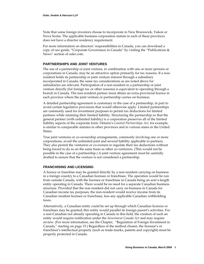Note that some foreign investors choose to incorporate in New Brunswick, Yukon or Nova Scotia. The applicable business corporation statute in each of these provinces does not have a director residency requirement.

For more information on directors' responsibilities in Canada, you can download a copy of our guide, "Corporate Governance in Canada" by visiting the "Publications & News" section of osler.com.

#### **PARTNERSHIPS AND JOINT VENTURES**

The use of a partnership or joint venture, in combination with one or more persons or corporations in Canada, may be an attractive option primarily for tax reasons. If a non‐ resident holds its partnership or joint venture interest through a subsidiary incorporated in Canada, the same tax considerations as are noted above for subsidiaries are relevant. Participation of a non‐resident in a partnership or joint venture directly (for foreign tax or other reasons) is equivalent to operating through a branch in Canada. The non‐resident partner must obtain an extra‐provincial licence in each province where the joint venture or partnership carries on business.

A detailed partnership agreement is customary in the case of a partnership, in part to avoid certain legislative provisions that would otherwise apply. Limited partnerships are commonly used for investment purposes to permit tax deductions for limited partners while retaining their limited liability. Structuring the partnership so that the general partner (with unlimited liability) is a corporation preserves all of the limited liability aspects of the corporate form. Ontario's *Limited Partnerships Act*, for example, is similar to comparable statutes in other provinces and in various states in the United States.

True joint ventures or co-ownership arrangements, commonly involving one or more corporations, avoid the unlimited joint and several liability applicable to partners. They also permit the venturers or co-owners to regulate their tax deductions without being forced to do so on the same basis as other co-venturers. (This would not be possible in the case of a partnership.) A joint venture agreement must be carefully drafted to ensure that the venture is not considered a partnership.

#### **FRANCHISING AND LICENSING**

A licence or franchise may be granted directly by a non‐resident carrying on business in a foreign country to a Canadian licensee or franchisee. The operation would be run from outside Canada, with the licensee or franchisee in Canada being an arm's‐length entity operating in Canada. There would be no need for a separate Canadian business structure. Provided that the non‐resident did not carry on business in Canada for Canadian income tax purposes, the non‐resident would receive income from its Canadian resident licensee or franchisee, less any applicable Canadian withholding taxes.

Alternatively, a Canadian entity could be set up through which Canadian licences or franchises may be granted; this entity would parallel its foreign parent's activities. For a non‐Canadian not already operating in Canada in this field, the creation of such an entity would require notification under the *Investment Canada Act* and may require review. (For more information, see the Chapter, "Regulation of Foreign Investment in Canada," starting on page [15](#page-17-1).) Regardless of the method chosen, the licensor's or franchisor's intellectual property (such as trade‐marks, patents and copyright) must be properly protected in Canada.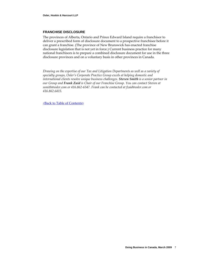#### **FRANCHISE DISCLOSURE**

The provinces of Alberta, Ontario and Prince Edward Island require a franchisor to deliver a prescribed form of disclosure document to a prospective franchisee before it can grant a franchise. (The province of New Brunswick has enacted franchise disclosure legislation that is not yet in force.) Current business practice for many national franchisors is to prepare a combined disclosure document for use in the three disclosure provinces and on a voluntary basis in other provinces in Canada.

*Drawing on the expertise of our Tax and Litigation Departments as well as a variety of specialty groups, Osler's Corporate Practice Group excels at helping domestic and international clients resolve unique business challenges. Steven Smith is a senior partner in our Group and Frank Zaid is Chair of our Franchise Group. You can contact Steven at [ssmith@osler.com](mailto:pglossop@osler.com) or 416.862‐6547. Frank can be contacted at [fzaid@osler.com](mailto:fzaid@osler.com) or 416.862.6415.*

<Back to Table of [Contents>](#page-2-0)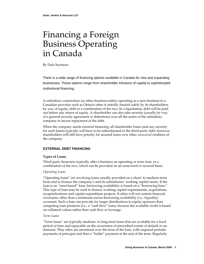### <span id="page-10-0"></span>Financing a Foreign Business Operating in Canada

By Dale Seymour

There is a wide range of financing options available in Canada for new and expanding businesses. These options range from shareholder infusions of capital to sophisticated institutional financing.

A subsidiary corporation (or other business entity) operating as a new business in a Canadian province such as Ontario often is initially funded solely by its shareholders by way of equity, debt or a combination of the two. In a liquidation, debt will be paid out before any return of equity. A shareholder can also take security (usually by way of a general security agreement or debenture) over all the assets of the subsidiary company to secure repayment of the debt.

When the company needs external financing, all shareholder loans (and any security for such loans) typically will have to be subordinated to the third-party debt; however, shareholders will still have priority for secured loans over other *unsecured* creditors of the company.

#### **EXTERNAL DEBT FINANCING**

#### **Types of Loans**

Third-party financiers typically offer a business an operating or term loan, or a combination of the two, which can be provided on an unsecured or secured basis.

#### *Operating Loans*

"Operating loans" are revolving loans usually provided on a short‐ to medium‐term basis and to finance the company's and its subsidiaries' working capital needs. If the loan is an "asset based" loan, borrowing availability is based on a "borrowing base." This type of loan may be used to finance working capital requirements, acquisitions, recapitalizations and capital expenditure projects. It often will not contain financial covenants, other than a minimum excess borrowing availability (i.e., liquidity) covenant. Such a loan can provide for larger distributions to equity sponsors than competing loan products (i.e., a "cash flow" loan), because the available credit is based on collateral values rather than cash flow or leverage.

#### *Term Loans*

"Term loans" are typically medium‐ to long‐term loans that are available for a fixed period of time and repayable on the occurrence of prescribed events of default or on demand. They often are amortized over the term of the loan, with required periodic payments of principal and then a "bullet" payment at the end of the term. Regularly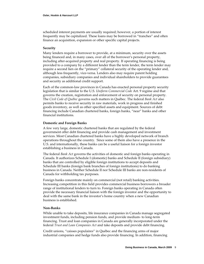scheduled interest payments are usually required; however, a portion of interest frequently may be capitalized. These loans may be borrowed in "tranches" and often finance an acquisition, expansion or other specific capital projects.

#### **Security**

Many lenders require a borrower to provide, at a minimum, security over the assets being financed and, in many cases, over all of the borrower's personal property, including after‐acquired property and real property. If operating financing is being provided to a company by a different lender than the term lender, the term lender may require a second lien on the "primary" collateral security of the operating lender and, although less frequently, vice‐versa. Lenders also may require parent holding companies, subsidiary companies and individual shareholders to provide guarantees and security as additional credit support.

Each of the common‐law provinces in Canada has enacted personal property security legislation that is similar to the U.S. *Uniform Commercial Code* Art. 9 regime and that governs the creation, registration and enforcement of security on personal property. The *Civil Code of Québec* governs such matters in Québec. The federal *Bank Act* also permits banks to receive security in raw materials, work in progress and finished goods inventory, as well as other specified assets and equipment. Sources of debt financing include Canadian chartered banks, foreign banks, "near" banks and other financial institutions.

#### **Domestic and Foreign Banks**

A few very large, domestic chartered banks that are regulated by the federal government offer debt financing and provide cash management and investment services. Most Canadian chartered banks have a highly developed network of branch operations throughout the country. Since some of them also have a presence in the U.S. and internationally, these banks can be a useful liaison for a foreign investor establishing a business in Canada.

The federal *Bank Act* governs the activities of domestic and foreign banks operating in Canada. It authorizes Schedule I (domestic) banks and Schedule II (foreign subsidiary) banks that are controlled by eligible foreign institutions to accept deposits and Schedule III banks (foreign bank branches of foreign institutions) to do banking business in Canada. Neither Schedule II nor Schedule III banks are non‐residents of Canada for withholding tax purposes.

Foreign banks concentrate mainly on commercial (not retail) banking activities. Increasing competition in this field provides commercial business borrowers a broader range of institutional lenders to turn to. Foreign banks operating in Canada often provide the necessary financial liaison with the foreign investor and the opportunity to deal with the same bank in the investor's home country when a new Canadian business is established.

#### **Non‐Banks**

While unable to take deposits, life insurance companies in Canada manage segregated investment funds, including pension funds, and provide medium‐ to long‐term financing. Trust and loan companies in Canada are generally incorporated under the federal *Trust and Loan Companies Act* and take deposits and provide debt financing.

Credit unions, "caisses populaires" in Québec and the financing arms of major industrial companies and hedge funds also provide financing. In addition, financing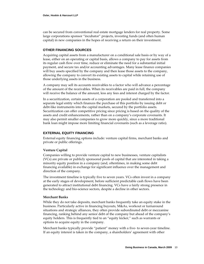can be secured from conventional real estate mortgage lenders for real property. Some large corporations sponsor "incubator" projects, investing funds (and often human capital) in new companies in the hopes of receiving a return on their investment.

#### **OTHER FINANCING SOURCES**

Acquiring capital assets from a manufacturer on a conditional sale basis or by way of a lease, either on an operating or capital basis, allows a company to pay for assets from its regular cash flow over time, reduce or eliminate the need for a substantial initial payment, and secure tax and/or accounting advantages. Many lease finance companies will buy assets specified by the company and then lease those assets to the company, allowing the company to convert its existing assets to capital while retaining use of those underlying assets in the business.

A company may sell its accounts receivables to a factor who will advance a percentage of the amount of the receivables. When its receivables are paid in full, the company will receive the balance of the amount, less any fees and interest charged by the factor.

In a securitization, certain assets of a corporation are pooled and transferred into a separate legal entity which finances the purchase of this portfolio by issuing debt or debt-like instruments into the capital markets, secured by the portfolio assets. Securitization can offer competitive pricing since pricing is based on the quality of the assets and credit enhancements, rather than on a company's corporate covenants. It may also permit smaller companies to grow more quickly, since a more traditional bank loan might impose more limiting financial covenants (such as a leverage ratio).

#### **EXTERNAL EQUITY FINANCING**

External equity financing options include: venture capital firms, merchant banks and private or public offerings.

#### **Venture Capital**

Companies willing to provide venture capital to new businesses, venture capitalists (VCs) are private or publicly sponsored pools of capital that are interested in taking a minority equity position in a company (and, oftentimes, in making some debt financing available) in exchange for significant influence over the management and direction of the company.

The investment timeline is typically five to seven years. VCs often invest in a company at the early stages of development, before sufficient predictable cash flows have been generated to attract institutional debt financing. VCs have a fairly strong presence in the technology and bio‐science sectors, despite a decline in other sectors.

#### **Merchant Banks**

While they do not take deposits, merchant banks frequently take an equity stake in the business. Particularly active in financing buyouts, M&As, workout or turnaround situations and strategic alliances, they often provide subordinated debt or mezzanine financing, ranking behind any senior debt of the company but ahead of the company's equity holders. This is frequently tied to an "equity kicker," such as warrants or options to acquire equity in the company.

Merchant banks typically provide "patient" money with a five- to seven-year timeline. If an equity interest is taken in the company, a shareholders' agreement with other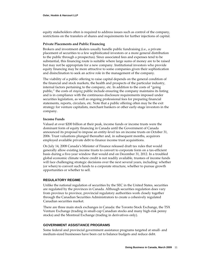equity stakeholders often is required to address issues such as control of the company, restrictions on the transfers of shares and requirements for further injections of capital.

#### **Private Placements and Public Financing**

Brokers and investment dealers usually handle public fundraising (i.e., a private placement of securities to a few sophisticated investors or a more general distribution to the public through a prospectus). Since associated fees and expenses tend to be substantial, this financing route is suitable where large sums of money are to be raised but may not be appropriate for a new company. Institutional investors who provide equity financing may be more attractive to some companies given their sophistication and disinclination to seek an active role in the management of the company.

The viability of a public offering to raise capital depends on the general condition of the financial and stock markets, the health and prospects of the particular industry, internal factors pertaining to the company, etc. In addition to the costs of "going public," the costs of *staying* public include ensuring the company maintains its listing and is in compliance with the continuous disclosure requirements imposed under securities legislation, as well as ongoing professional fees for preparing financial statements, reports, circulars, etc. Note that a public offering often may be the exit strategy for venture capitalists, merchant bankers or other early‐stage investors in the company.

#### **Income Funds**

Valued at over \$200 billion at their peak, income funds or income trusts were the dominant form of equity financing in Canada until the Government of Canada announced its proposal to impose an entity‐level tax on income trusts on October 31, 2006. Trust valuations plunged thereafter and, in subsequent months, acquirors employed available private debt to finance income trust acquisitions.

On July 14, 2008 Canada's Minister of Finance released draft tax rules that would generally allow existing income trusts to convert to corporate form on a tax‐efficient basis during a five‐year window that would end on December 31, 2012. In a troubled global economic climate where credit is not readily available, trustees of income funds will face challenging strategic decisions over the next several years, including: whether (or when) to convert such funds to a corporate structure, whether to pursue growth opportunities or whether to sell.

#### **REGULATORY REGIME**

Unlike the national regulation of securities by the SEC in the United States, securities are regulated by the provinces in Canada. Although securities regulation does vary from province to province, provincial regulatory authorities work closely together through the Canadian Securities Administrators to create a cohesively regulated Canadian securities market.

There are three main stock exchanges in Canada: the Toronto Stock Exchange, the TSX Venture Exchange (trading in small‐cap Canadian stocks and many high‐risk penny stocks) and the Montreal Exchange (trading in derivatives only).

#### **GOVERNMENT ASSISTANCE PROGRAMS**

Some federal and provincial government assistance programs targeted at small‐ and medium‐sized businesses have been cut to balance budgets and reduce debt.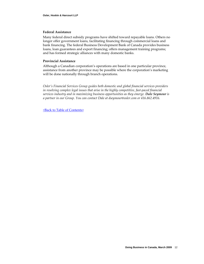#### **Federal Assistance**

Many federal direct subsidy programs have shifted toward repayable loans. Others no longer offer government loans, facilitating financing through commercial loans and bank financing. The federal Business Development Bank of Canada provides business loans, loan guarantees and export financing; offers management training programs; and has formed strategic alliances with many domestic banks.

#### **Provincial Assistance**

Although a Canadian corporation's operations are based in one particular province, assistance from another province may be possible where the corporation's marketing will be done nationally through branch operations.

*Osler's Financial Services Group guides both domestic and global financial services providers in resolving complex legal issues that arise in the highly competitive, fast‐paced financial services industry and in maximizing business opportunities as they emerge. Dale Seymour is a partner in our Group. You can contact Dale at dseymour@osler.com or 416.862.4916.*

<Back to Table of [Contents>](#page-2-0)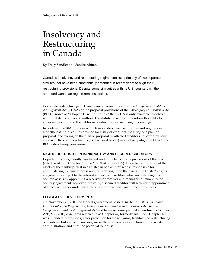### <span id="page-15-0"></span>Insolvency and Restructuring in Canada

By Tracy Sandler and Sandra Abitan

Canada's insolvency and restructuring regime consists primarily of two separate statutes that have been substantially amended in recent years to align their restructuring provisions. Despite some similarities with its U.S. counterpart, the amended Canadian regime remains distinct.

Corporate restructurings in Canada are governed by either the *Companies' Creditors Arrangement Act* (CCAA) or the proposal provisions of the *Bankruptcy & Insolvency Act* (BIA). Known as "Chapter 11 without rules," the CCCA is only available to debtors with total debts of over \$5 million. The statute provides tremendous flexibility to the supervising court and the debtor in conducting restructuring proceedings.

In contrast, the BIA provides a much more structured set of rules and regulations. Nonetheless, both statutes provide for a stay of creditors, the filing of a plan or proposal, and voting on the plan or proposal by affected creditors, followed by court approval. Recent amendments (as discussed below) more closely align the CCAA and BIA restructuring provisions.

#### **RIGHTS OF TRUSTEE IN BANKRUPTCY AND SECURED CREDITORS**

Liquidations are generally conducted under the bankruptcy provisions of the BIA (which is akin to Chapter 7 of the *U.S. Bankruptcy Code*). Upon bankruptcy, all of the assets of the bankrupt vest in a trustee in bankruptcy who is responsible for administering a claims process and for realizing upon the assets. The trustee's rights are generally subject to the interests of secured creditors who can realize against secured assets by appointing a receiver (or receiver and manager) pursuant to the security agreement; however, typically, a secured creditor will seek court appointment of a receiver, either under the BIA or under provincial law in most provinces.

#### **LEGISLATIVE DEVELOPMENTS**

On November 25, 2005 the federal government passed *An Act to establish the Wage Earner Protection Program Act, to amend the Bankruptcy and Insolvency Act and the Companies' Creditors Arrangement Act* and to make consequential amendments to other Acts, S.C. 2005, c. 47 (now referred to as Chapter 47, formerly Bill C‐55). Chapter 47 was intended to provide greater protection for wage claims; facilitate the restructuring of insolvent but viable businesses; make the insolvency system fairer; improve its administration; and curb the potential for abuse.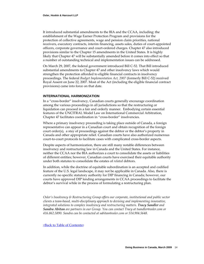It introduced substantial amendments to the BIA and the CCAA, including: the establishment of the Wage Earner Protection Program and provisions for the protection of collective agreements, wage and pension claim priorities, national receivers, executory contracts, interim financing, assets sales, duties of court-appointed officers, corporate governance and court‐ordered charges. Chapter 47 also introduced provisions similar to the Chapter 15 amendments in the United States. It is highly likely that Chapter 47 will be substantially amended before it comes into effect so that a number of outstanding technical and implementation issues can be addressed.

On March 29, 2007, the federal government introduced Bill C‐52. That Bill introduced substantial amendments to Chapter 47 and other insolvency laws which would strengthen the protection afforded to eligible financial contracts in insolvency proceedings. The federal *Budget [Implementation](http://laws.justice.gc.ca/en/ShowTdm/cs/B-9.856/20070905/en?command=HOME&caller=SI&search_type=all&shorttitle=Budget%20Implementation%20Act&day=5&month=9&year=2007&search_domain=cs&showall=L&statuteyear=all&lengthannual=50&length=50) Act, 2007* (formerly Bill C‐52) received Royal Assent on June 22, 2007. Most of the Act (including the eligible financial contract provisions) came into force on that date.

#### **INTERNATIONAL HARMONIZATION**

In a "cross‐border" insolvency, Canadian courts generally encourage coordination among the various proceedings in all jurisdictions so that the restructuring or liquidation can proceed in a fair and orderly manner. Embodying certain essential features of the UNCITRAL Model Law on International Commercial Arbitration, Chapter 47 facilitates coordination in "cross‐border" insolvencies.

Where a primary insolvency proceeding is taking place outside of Canada, a foreign representative can appear in a Canadian court and obtain recognition of the foreign court order(s), a stay of proceedings against the debtor or the debtor's property in Canada and other appropriate relief. Canadian courts have also authorized numerous court‐to‐court protocols to facilitate cases with complicated cross‐border aspects.

Despite aspects of harmonization, there are still many notable differences between insolvency and restructuring law in Canada and the United States. For instance, neither the CCAA nor the BIA authorizes a court to consolidate the assets or liabilities of different entities; however, Canadian courts have exercised their equitable authority under both statutes to consolidate the estates of *related* debtors.

In addition, while the doctrine of equitable subordination is an accepted and codified feature of the U.S. legal landscape, it may not be applicable in Canada. Also, there is currently no specific statutory authority for DIP financing in Canada; however, our courts have approved DIP lending arrangements in CCAA proceedings to facilitate the debtor's survival while in the process of formulating a restructuring plan.

*Osler's Insolvency & Restructuring Group offers our corporate, institutional and public sector clients a team‐based, multi‐disciplinary approach to devising and implementing innovative, integrated solutions to complex insolvency and restructuring matters. Tracy Sandler and Sandra Abitan are partners in our Group. You can contact Tracy at tsandler@osler.com or 416.862.5890. Sandra can be contacted at sabitan@osler.com or 514.904.5648.*

<Back to Table of [Contents>](#page-2-0)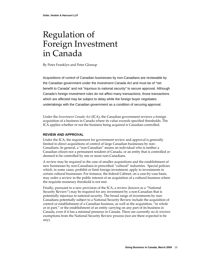### <span id="page-17-1"></span><span id="page-17-0"></span>Regulation of Foreign Investment in Canada

By Peter Franklyn and Peter Glossop

Acquisitions of control of Canadian businesses by non-Canadians are reviewable by the Canadian government under the *Investment Canada Act* and must be of "net benefit to Canada" and not "injurious to national security" to secure approval. Although Canada's foreign investment rules do not affect many transactions, those transactions which are affected may be subject to delay while the foreign buyer negotiates undertakings with the Canadian government as a condition of securing approval.

Under the *Investment Canada Act* (ICA), the Canadian government reviews a foreign acquisition of a business in Canada where its value exceeds specified thresholds. The ICA applies whether or not the business being acquired is Canadian‐controlled.

#### **REVIEW AND APPROVAL**

Under the ICA, the requirement for government review and approval is generally limited to direct acquisitions of control of large Canadian businesses by non-Canadians. In general, a "non‐Canadian" means an individual who is neither a Canadian citizen nor a permanent resident of Canada, or an entity that is controlled or deemed to be controlled by one or more non‐Canadians.

A review may be required in the case of smaller acquisitions and the establishment of new businesses by non‐Canadians in prescribed "cultural" industries. Special policies which, in some cases, prohibit or limit foreign investment, apply to investments in certain cultural businesses. For instance, the federal Cabinet, on a case‐by‐case basis, may order a review in the public interest of an acquisition of a cultural business where the requisite monetary threshold is not met.

Finally, pursuant to a new provision of the ICA, a review (known as a "National Security Review") may be required for any investment by a non‐Canadian that is potentially injurious to national security. The broad range of investments by non‐ Canadians potentially subject to a National Security Review include the acquisition of control or establishment of a Canadian business, as well as the acquisition, "in whole or in part," or the establishment of an entity carrying on any part of its business in Canada, even if it has a minimal presence in Canada. There are currently no *de minimis* exemptions from the National Security Review process (nor are there expected to be any).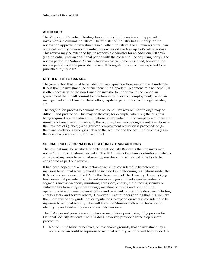#### **AUTHORITY**

The Minister of Canadian Heritage has authority for the review and approval of investments in cultural industries. The Minister of Industry has authority for the review and approval of investments in all other industries. For all reviews other than National Security Reviews, the initial review period can take up to 45 calendar days. This review may be extended by the responsible Minister for an additional 30 days (and potentially for an additional period with the consent of the acquiring party). The review period for National Security Reviews has yet to be prescribed; however, the review period could be prescribed in new ICA regulations which are expected to be published in July 2009.

#### **NET BENEFIT TO CANADA**

The general test that must be satisfied for an acquisition to secure approval under the ICA is that the investment be of "net benefit to Canada." To demonstrate net benefit, it is often necessary for the non‐Canadian investor to undertake to the Canadian government that it will commit to maintain: certain levels of employment; Canadian management and a Canadian head office; capital expenditures; technology transfer; etc.

The negotiation process to demonstrate net benefit by way of undertakings may be difficult and protracted. This may be the case, for example, where: (1) the business being acquired is a Canadian multinational or Canadian public company and there are numerous Canadian employees; (2) the acquired business has significant operations in the Province of Québec; (3) a significant employment reduction is proposed; or (4) there are no obvious synergies between the acquiror and the acquired business (as in the case of a private equity firm acquiror).

#### **SPECIAL RULES FOR NATIONAL SECURITY TRANSACTIONS**

The test that must be satisfied for a National Security Review is that the investment not be "injurious to national security." The ICA does not contain a definition of what is considered injurious to national security, nor does it provide a list of factors to be considered as part of a review.

It had been hoped that a list of factors or activities considered to be potentially injurious to national security would be included in forthcoming regulations under the ICA, as has been done in the U.S. by the Department of The Treasury (Treasury) (e.g., businesses that provide products and services to government agencies; industry segments such as weapons, munitions, aerospace, energy, etc. affecting security or vulnerability to sabotage or espionage; maritime shipping and port terminal operations; aviation maintenance, repair and overhaul; critical infrastructure including energy assets; and several others). However, it is our understanding that it is unlikely that there will be any guidelines or regulations to expand on what is considered to be injurious to national security. This will leave the Minister with wide discretion in identifying and evaluating national security concerns.

The ICA does not prescribe a voluntary or mandatory pre‐closing filing process for National Security Reviews. The ICA does, however, provide a three‐step review procedure:

1. **Notice.** If the Minister believes, on reasonable grounds, that an investment by a non‐Canadian could be injurious to national security, a notice will be provided to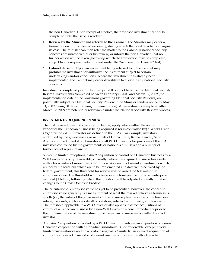the non‐Canadian. Upon receipt of a notice, the proposed investment cannot be completed until the issue is resolved.

- 2. **Review by the Minister and referral to the Cabinet.** The Minister may order a formal review if it is deemed necessary, during which the non‐Canadian can argue its case. The Minister can then refer the matter to the Cabinet if national security concerns are unresolved after his review, or inform the non‐Canadian that no further action will be taken (following which the transaction may be completed, subject to any requirements imposed under the "net benefit to Canada" test).
- 3. **Cabinet decision.** Upon an investment being referred to it, the Cabinet may prohibit the investment or authorize the investment subject to certain undertakings and/or conditions. Where the investment has already been implemented, the Cabinet may order divestiture to alleviate any national security concerns.

Investments completed prior to February 6, 2009 cannot be subject to National Security Review. Investments completed between February 6, 2009 and March 12, 2009 (the implementation date of the provisions governing National Security Reviews) are potentially subject to a National Security Review if the Minister sends a notice by May 11, 2009 (being 60 days following implementation). All investments completed after March 12, 2009 are potentially reviewable under the National Security Review process.

#### **INVESTMENTS REQUIRING REVIEW**

The ICA review thresholds (referred to below) apply where either the acquiror or the vendor of the Canadian business being acquired is (or is controlled by) a World Trade Organization (WTO) investor (as defined in the ICA). For example, investors controlled by the governments or nationals of China, India, Korea, Kuwait, Saudi Arabia and the United Arab Emirates are all WTO investors for purposes of the ICA; investors controlled by the governments or nationals of Russia and a number of former Soviet republics are not.

Subject to limited exceptions, a *direct* acquisition of control of a Canadian business by a WTO investor is only reviewable, currently, where the acquired business has assets with a book value of more than \$312 million. As a result of recent amendments which are not yet in force but which are to be implemented at a date yet to be fixed by the federal government, this threshold for review will be raised to \$600 million in enterprise value. The threshold will increase over a four‐year period to an enterprise value of \$1 billion, following which the threshold will be adjusted annually to reflect changes to the Gross Domestic Product.

The calculation of enterprise value has yet to be prescribed; however, the concept of enterprise value generally is a measurement of what the market believes a business is worth (i.e., the value of the gross assets of the business plus the value of the business' intangible assets, such as goodwill, know‐how, intellectual property, etc. less cash). The threshold applicable to a WTO investor also applies to direct acquisitions of control of a Canadian business by a non‐WTO investor where, immediately prior to the implementation of the investment, the Canadian business is controlled by a WTO investor.

An *indirect* acquisition of control by a WTO investor, involving an acquisition of a non‐ Canadian corporation with a Canadian subsidiary, is not reviewable, except in very limited circumstances and on a post‐closing basis. Similarly, an indirect acquisition of control by a non‐WTO investor of a non‐Canadian corporation with a Canadian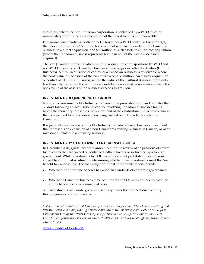subsidiary where the non‐Canadian corporation is controlled by a WTO investor immediately prior to the implementation of the investment, is not reviewable.

For transactions involving neither a WTO buyer nor a WTO-controlled seller/target, the relevant threshold is \$5 million book value of worldwide assets for the Canadian business in a direct acquisition, and \$50 million of such assets in an indirect acquisition (where the Canadian business represents less than half of the worldwide assets acquired).

The low \$5 million threshold also applies to acquisitions or dispositions by WTO and non‐WTO investors of a Canadian business that engages in cultural activities (Cultural Business). A *direct* acquisition of control of a Canadian Business is reviewable where the book value of the assets of the business exceeds \$5 million. An *indirect* acquisition of control of a Cultural Business, where the value of the Cultural Business represents less than fifty percent of the worldwide assets being acquired, is reviewable where the book value of the assets of the business exceeds \$50 million.

#### **INVESTMENTS REQUIRING NOTIFICATION**

Non‐Canadians must notify Industry Canada in the prescribed form and not later than 30 days following an acquisition of control involving Canadian businesses falling below the monetary thresholds for review, and of the establishment of a new business that is unrelated to any business then being carried on in Canada by such non‐ Canadian.

It is generally not necessary to notify Industry Canada of a new business investment that represents an expansion of a non‐Canadian's existing business in Canada, or of an investment related to an existing business.

#### **INVESTMENTS BY STATE-OWNED ENTERPRISES (SOES)**

In December 2007, guidelines were announced for the review of acquisitions of control by investors that are owned or controlled, either directly or indirectly, by a foreign government. While investments by SOE investors are not prohibited, they are now subject to additional scrutiny in determining whether their investments meet the "net benefit to Canada" test. The following additional criteria will be considered:

- Whether the enterprise adheres to Canadian standards of corporate governance; and
- Whether a Canadian business to be acquired by an SOE will continue to have the ability to operate on a commercial basis.

SOE investments may undergo careful scrutiny under the new National Security Review process referred to above.

*Osler's Competition/Antitrust Law Group provides strategic competition law counselling and litigation advice to many leading domestic and international enterprises. Peter Franklyn is Chair of our Group and Peter Glossop is a partner in our Group. You can contact Peter Franklyn at pfranklyn@osler.com or 416.862.6494 and Peter Glossop at pglossop@osler.com or 416.862.6554.*

<Back to Table of [Contents>](#page-2-0)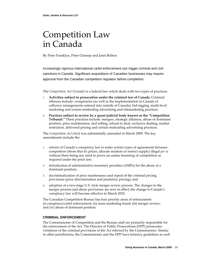### <span id="page-21-0"></span>Competition Law in Canada

By Peter Franklyn, Peter Glossop and Janet Bolton

Increasingly rigorous international cartel enforcement can trigger criminal and civil sanctions in Canada. Significant acquisitions of Canadian businesses may require approval from the Canadian competition regulator before completion.

The *Competition Act (Canada)* is a federal law which deals with two types of practices:

- 1. **Activities subject to prosecution under the criminal law of Canada.** Criminal offences include: conspiracies (as well as the implementation in Canada of collusive arrangements entered into outside of Canada), bid‐rigging, multi‐level marketing and certain misleading advertising and telemarketing practices.
- 2. **Practices subject to review by a quasi‐judicial body known as the "Competition Tribunal."** These practices include: mergers, strategic alliances, abuse of dominant position, price maintenance, tied selling, refusal to deal, exclusive dealing, market restriction, delivered pricing and certain misleading advertising practices.

The *Competition Act* (Act) was substantially amended in March 2009. The key amendments include the:

- 1. reform of Canada's conspiracy law to make certain types of agreements between competitors (those that fix prices, allocate markets or restrict supply) illegal *per se* without there being any need to prove an undue lessening of competition as required under the prior law;
- 2. introduction of administrative monetary penalties (AMPs) for the abuse of a dominant position;
- 3. decriminalization of price maintenance and repeal of the criminal pricing provisions (price discrimination and predatory pricing); and
- 4. adoption of a two‐stage U.S. style merger review process. The changes to the merger process and abuse provisions are now in effect; the change to Canada's conspiracy law will become effective in March 2010.

The Canadian Competition Bureau has four priority areas of enforcement: (i) conspiracy/cartel enforcement; (ii) mass marketing fraud; (iii) merger review; and (iv) abuse of dominant position.

#### **CRIMINAL ENFORCEMENT**

The Commissioner of Competition and the Bureau staff are primarily responsible for the enforcement of the Act. The Director of Public Prosecutions (DPP) prosecutes violations of the criminal provisions of the Act referred by the Commissioner. Similar to other jurisdictions, the Commissioner and the DPP have leniency guidelines as well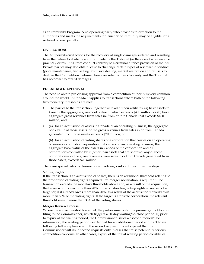as an Immunity Program. A co‐operating party who provides information to the authorities and meets the requirements for leniency or immunity may be eligible for a reduced or zero penalty.

#### **CIVIL ACTIONS**

The Act permits civil actions for the recovery of single damages suffered and resulting from the failure to abide by an order made by the Tribunal (in the case of a reviewable practice), or resulting from conduct contrary to a criminal offence provision of the Act. Private parties may also obtain leave to challenge certain types of reviewable conduct (price maintenance, tied selling, exclusive dealing, market restriction and refusals to deal) in the Competition Tribunal; however relief is injunctive only and the Tribunal has no power to award damages.

#### **PRE-MERGER APPROVAL**

The need to obtain pre‐closing approval from a competition authority is very common around the world. In Canada, it applies to transactions where both of the following two monetary thresholds are met:

- 1. The parties to the transaction, together with all of their affiliates: (a) have assets in Canada the aggregate gross book value of which exceeds \$400 million; or (b) have aggregate gross revenues from sales in, from or into Canada that exceeds \$400 million; and
- 2. (a) for an acquisition of assets in Canada of an operating business, the aggregate book value of those assets, or the gross revenues from sales in or from Canada generated from those assets, exceeds \$70 million; or

(b) for an acquisition of voting shares of a corporation that carries on an operating business or controls a corporation that carries on an operating business, the aggregate book value of the assets in Canada of the corporation and all corporations controlled by it (other than assets that are shares of any of those corporations), or the gross revenues from sales in or from Canada generated from those assets, exceeds \$70 million.

There are special rules for transactions involving joint ventures or partnerships.

#### **Voting Rights**

If the transaction is an acquisition of shares, there is an additional threshold relating to the proportion of voting rights acquired. Pre‐merger notification is required if the transaction exceeds the monetary thresholds above and, as a result of the acquisition, the buyer would own more than 20% of the outstanding voting rights in respect of a target or, if it already owns more than 20%, as a result of the acquisition it would own more than 50% of the voting rights. If the target is a private corporation, the relevant threshold rises to more than 35% of the voting shares.

#### **Merger Review Process**

Where the above thresholds are met, the parties must submit a pre-merger notification filing to the Commissioner, which triggers a 30‐day waiting/no‐close period. If, prior to expiry of the waiting period, the Commissioner issues a "second request" for information, the waiting period is extended for an additional period ending 30 days following full compliance with the second request. It is anticipated that the Commissioner will issue second requests only in cases that raise potentially serious competition concerns. In other cases, expiry of the initial waiting period constitutes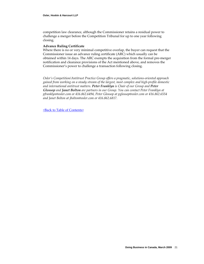competition law clearance, although the Commissioner retains a residual power to challenge a merger before the Competition Tribunal for up to one year following closing.

#### **Advance Ruling Certificate**

Where there is no or very minimal competitive overlap, the buyer can request that the Commissioner issue an advance ruling certificate (ARC) which usually can be obtained within 14 days. The ARC exempts the acquisition from the formal pre‐merger notification and clearance provisions of the Act mentioned above, and removes the Commissioner's power to challenge a transaction following closing.

*Osler's Competition/Antitrust Practice Group offers a pragmatic, solutions‐oriented approach gained from working on a steady stream of the largest, most complex and high‐profile domestic and international antitrust matters. Peter Franklyn is Chair of our Group and Peter Glossop and Janet Bolton are partners in our Group. You can contact Peter Franklyn at pfranklyn@osler.com or 416.862.6494, Peter Glossop at pglossop@osler.com or 416.862.6554 and Janet Bolton at jbolton@osler.com or 416.862.6817.*

<Back to Table of [Contents>](#page-2-0)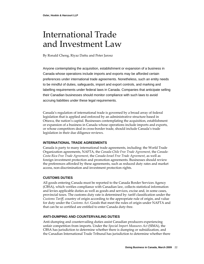### <span id="page-24-0"></span>International Trade and Investment Law

By Ronald Cheng, Riyaz Dattu and Peter Jarosz

Anyone contemplating the acquisition, establishment or expansion of a business in Canada whose operations include imports and exports may be afforded certain preferences under international trade agreements. Nonetheless, such an entity needs to be mindful of duties, safeguards, import and export controls, and marking and labelling requirements under federal laws in Canada. Companies that anticipate selling their Canadian businesses should monitor compliance with such laws to avoid accruing liabilities under these legal requirements.

Canada's regulation of international trade is governed by a broad array of federal legislation that is applied and enforced by an administrative structure based in Ottawa, the nation's capital. Businesses contemplating the acquisition, establishment or expansion of a business in Canada whose operations include imports and exports, or whose competitors deal in cross‐border trade, should include Canada's trade legislation in their due diligence reviews.

#### **INTERNATIONAL TRADE AGREEMENTS**

Canada is party to many international trade agreements, including: the World Trade Organization agreements, NAFTA, the *Canada‐Chile Free Trade Agreement*, the *Canada‐ Costa Rica Free Trade Agreement*, the *Canada‐Israel Free Trade Agreement*, as well as foreign investment protection and promotion agreements. Businesses should review the preferences afforded by these agreements, such as reduced duty rates and market access, non‐discrimination and investment protection rights.

#### **CUSTOMS DUTIES**

All goods entering Canada must be reported to the Canada Border Services Agency (CBSA), which verifies compliance with Canadian law, collects statistical information and levies applicable duties as well as goods and services, excise and, in some cases, provincial taxes. The customs duty rate is determined by: tariff classification under the *Customs Tariff*, country of origin according to the appropriate rule of origin, and value for duty under the *Customs Act*. Goods that meet the rules of origin under NAFTA and that can be so certified are entitled to enter Canada duty‐free.

#### **ANTI-DUMPING AND COUNTERVAILING DUTIES**

Anti-dumping and countervailing duties assist Canadian producers experiencing unfair competition from imports. Under the *Special Import Measures Act* (SIMA), the CBSA has jurisdiction to determine whether there is dumping or subsidization, and the Canadian International Trade Tribunal has jurisdiction to determine whether there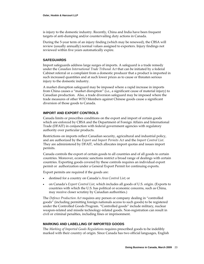is injury to the domestic industry. Recently, China and India have been frequent targets of anti‐dumping and/or countervailing duty actions in Canada.

During the 5‐year term of an injury finding (which may be renewed), the CBSA will review (usually annually) normal values assigned to exporters. Injury findings not reviewed within five years automatically expire.

#### **SAFEGUARDS**

Import safeguards address large surges of imports. A safeguard is a trade remedy under the *Canadian International Trade Tribunal Act* that can be initiated by a federal Cabinet referral or a complaint from a domestic producer that a product is imported in such increased quantities and at such lower prices as to cause or threaten serious injury to the domestic industry.

A market disruption safeguard may be imposed where a rapid increase in imports from China causes a "market disruption" (i.e., a significant cause of material injury) to Canadian production. Also, a trade diversion safeguard may be imposed where the trade measures of other WTO Members against Chinese goods cause a significant diversion of those goods to Canada.

#### **IMPORT AND EXPORT CONTROLS**

Canada limits or prescribes conditions on the export and import of certain goods which are enforced by CBSA and the Department of Foreign Affairs and International Trade (DFAIT) in conjunction with federal government agencies with regulatory authority over particular products.

Restrictions on imports reflect Canadian security, agricultural and industrial policy, and are authorized by the *Export and Import Permits Act* and the *Import Control List*. They are administered by DFAIT, which allocates import quotas and issues import permits.

Canada controls the export of certain goods to all countries and of all goods to certain countries. Moreover, economic sanctions restrict a broad range of dealings with certain countries. Exporting goods covered by these controls requires an individual export permit or authorization under a General Export Permit for continuing exports.

Export permits are required if the goods are:

- destined for a country on Canada's *Area Control List*; or
- on Canada's *Export Control List*, which includes all goods of U.S. origin. (Exports to countries with which the U.S. has political or economic concerns, such as China, may receive closer scrutiny by Canadian authorities.)

The *Defence Production Act* requires any person or company dealing in "controlled goods" (including permitting foreign nationals access to such goods) to be registered under the Controlled Goods Program. "Controlled goods" include military, nuclear weapon-related and missile technology-related goods. Non-registration can result in civil or criminal penalties, including fines or imprisonment.

#### **MARKING AND LABELLING OF IMPORTED GOODS**

The *Marking of Imported Goods Regulation*s requires prescribed goods to be indelibly marked with their country of origin. Since Canada has two official languages, English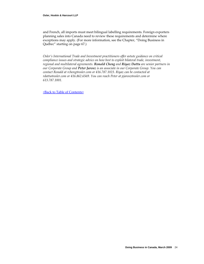and French, all imports must meet bilingual labelling requirements. Foreign exporters planning sales into Canada need to review these requirements and determine where exceptions may apply. (For more information, see the Chapter, "Doing Business in Québec" starting on page [67.](#page-69-1))

*Osler's International Trade and Investment practitioners offer astute guidance on critical compliance issues and strategic advice on how best to exploit bilateral trade, investment, regional and multilateral agreements. Ronald Cheng and Riyaz Dattu are senior partners in our Corporate Group and Peter Jarosz is an associate in our Corporate Group. You can contact Ronald at rcheng@osler.com or 416.787.1023. Riyaz can be contacted at rdattu@osler.com or 416.862.6569. You can reach Peter at pjarosz@osler.com or 613.787.1001.*

<Back to Table of [Contents>](#page-2-0)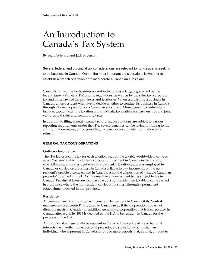### <span id="page-27-0"></span>An Introduction to Canada's Tax System

By Sean Aylward and Jack Silverson

Several federal and provincial tax considerations are relevant to non-residents seeking to do business in Canada. One of the most important considerations is whether to establish a branch operation or to incorporate a Canadian subsidiary.

Canada's tax regime for businesses (and individuals) is largely governed by the federal *Income Tax Act* (ITA) and its regulations, as well as by the sales tax, corporate tax and other laws of the provinces and territories. When establishing a business in Canada, a non‐resident will have to decide whether to conduct its business in Canada through a branch operation or a Canadian subsidiary. More general considerations include: capital taxes, the taxation of individuals, tax matters for partnerships and joint ventures and sales and commodity taxes.

In addition to filing annual income tax returns, corporations are subject to various reporting requirements under the ITA. Severe penalties can be levied for failing to file an information return, or for providing incorrect or incomplete information on a return.

#### **GENERAL TAX CONSIDERATIONS**

#### **Ordinary Income Tax**

The ITA levies income tax for each taxation year on the taxable worldwide income of every "person" (which includes a corporation) resident in Canada in that taxation year. Likewise, a non‐resident who, in a particular taxation year, was employed in Canada or carried on a business in Canada is liable to pay income tax on the non‐ resident's taxable income earned in Canada. Also, the disposition of "taxable Canadian property" (defined in the ITA) may result in a non‐resident being subject to tax in Canada. Provincial taxes are also payable by a non‐resident on taxable income earned in a province where the non-resident carries on business through a permanent establishment located in that province.

#### **Residence**

At common law, a corporation will generally be resident in Canada if its "central management and control" is located in Canada (e.g., if the corporation's board of directors meets in Canada). In addition, generally a corporation that is incorporated in Canada after April 26, 1965 is deemed by the ITA to be resident in Canada for the purposes of the ITA.

An individual will generally be resident in Canada if the centre of his or her vital interests (i.e., family, home, personal property, etc.) is in Canada. Further, an individual who is present in Canada for one or more periods that, in total, amount to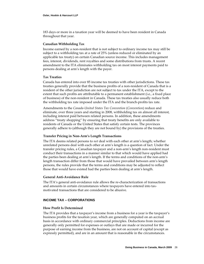183 days or more in a taxation year will be deemed to have been resident in Canada throughout that year.

#### **Canadian Withholding Tax**

Income earned by a non‐resident that is not subject to ordinary income tax may still be subject to a withholding tax at a rate of 25% (unless reduced or eliminated by an applicable tax treaty) on certain Canadian source income. This includes management fees, interest, dividends, rent royalties and some distributions from trusts. A recent amendment to the ITA eliminates withholding tax on most interest payments paid to persons dealing at arm's length with the payer.

#### **Tax Treaties**

Canada has entered into over 85 income tax treaties with other jurisdictions. These tax treaties generally provide that the business profits of a non‐resident of Canada that is a resident of the other jurisdiction are not subject to tax under the ITA, except to the extent that such profits are attributable to a permanent establishment (i.e., a fixed place of business) of the non‐resident in Canada. These tax treaties also usually reduce both the withholding tax rate imposed under the ITA and the branch‐profits tax rate.

Amendments to the *Canada‐United States Tax Convention* (*Convention*) reduce and eliminate, over three years and starting in 2008, withholding tax on almost all interest, including interest paid between related persons. In addition, these amendments address "treaty shopping" by ensuring that treaty benefits are only available to residents of Canada or the United States that satisfy certain tests. The provinces generally adhere to (although they are not bound by) the provisions of the treaties.

#### **Transfer Pricing in Non‐Arm's Length Transactions**

The ITA deems related persons to *not* deal with each other at arm's length; whether unrelated persons deal with each other at arm's length is a question of fact. Under the transfer pricing rules, a Canadian taxpayer and a non‐arm's length non‐resident must conduct their transactions in a manner similar to that which would have applied had the parties been dealing at arm's length. If the terms and conditions of the non-arm's length transaction differ from those that would have prevailed between arm's length persons, the rules provide that the terms and conditions may be adjusted to reflect those that would have existed had the parties been dealing at arm's length.

#### **General Anti‐Avoidance Rule**

The ITA's general anti-avoidance rule allows the re-characterization of transactions and amounts in certain circumstances where taxpayers have entered into tax‐ motivated transactions that are considered to be abusive.

#### **INCOME TAX – CORPORATIONS**

#### **How Profit Is Determined**

The ITA provides that a taxpayer's income from a business for a year is the taxpayer's business profits for the taxation year, which are generally computed on an accrual basis in accordance with ordinary commercial principles. Deductions from income are generally only permitted for expenses or outlays that are made or incurred for the purpose of earning income from the business, are not on account of capital (except as expressly permitted), and are in an amount that is reasonable in the circumstances.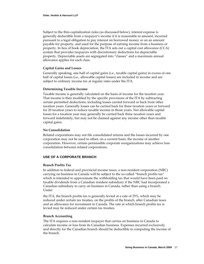Subject to the thin‐capitalization rules (as discussed below), interest expense is generally deductible from a taxpayer's income if it is reasonable in amount, incurred pursuant to a legal obligation to pay interest on borrowed money or on an amount payable for property, and used for the purpose of earning income from a business or property. In lieu of book depreciation, the ITA sets out a capital cost allowance (CCA) system that provides taxpayers with discretionary deductions for depreciable property. Depreciable assets are segregated into "classes" and a maximum annual allowance applies for each class.

#### **Capital Gains and Losses**

Generally speaking, one half of capital gains (i.e., taxable capital gains) in excess of one half of capital losses (i.e., allowable capital losses) are included in income and are subject to ordinary income tax at regular rates under the ITA.

#### **Determining Taxable Income**

Taxable income is generally calculated on the basis of income for the taxation year. That income is then modified by the specific provisions of the ITA by subtracting certain permitted deductions, including losses carried forward or back from other taxation years. Generally losses can be carried back for three taxation years or forward for 20 taxation years to reduce taxable income in those years. Net allowable capital losses for a taxation year may generally be carried back three taxation years and forward indefinitely, but may not be claimed against any income other than taxable capital gains.

#### **No Consolidation**

Related corporations may not file consolidated returns and the losses incurred by one corporation may not be used to offset, on a current basis, the income of another corporation. However, certain permissible corporate reorganizations may achieve loss consolidation between related corporations.

#### **USE OF A CORPORATE BRANCH**

#### **Branch Profits Tax**

In addition to federal and provincial income taxes, a non‐resident corporation (NRC) carrying on business in Canada will be subject to the so-called "branch profits tax" which is intended to approximate the withholding tax that would have been paid on taxable dividends from a Canadian resident subsidiary if the NRC had incorporated a Canadian subsidiary to carry on business in Canada, rather than using a branch. Under

the ITA, the branch profits tax is generally levied at a rate of 25%, which may be reduced under certain tax treaties, on the profits of the branch, after Canadian taxes and an allowance for investment in Canada. The rate at which branch profits tax is levied may be reduced under certain tax treaties.

#### **Branch Accounting**

The ITA requires a non‐resident taxpayer that carries on business in Canada to calculate income or loss from its Canadian business. Expenses incurred exclusively and directly for the Canadian branch should be deductible in computing the income of the branch.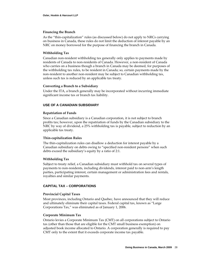#### **Financing the Branch**

As the "thin‐capitalization" rules (as discussed below) do not apply to NRCs carrying on business in Canada, these rules do not limit the deduction of interest payable by an NRC on money borrowed for the purpose of financing the branch in Canada.

#### **Withholding Tax**

Canadian non‐resident withholding tax generally only applies to payments made by residents of Canada to non‐residents of Canada. However, a non‐resident of Canada who carries on a business though a branch in Canada may be deemed, for purposes of the withholding tax rules, to be resident in Canada; so, certain payments made by the non-resident to another non-resident may be subject to Canadian withholding tax, unless such tax is reduced by an applicable tax treaty.

#### **Converting a Branch to a Subsidiary**

Under the ITA, a branch generally may be incorporated without incurring immediate significant income tax or branch tax liability.

#### **USE OF A CANADIAN SUBSIDIARY**

#### **Repatriation of Funds**

Since a Canadian subsidiary is a Canadian corporation, it is not subject to branch profits tax; however, upon the repatriation of funds by the Canadian subsidiary to the NRC by way of dividend, a 25% withholding tax is payable, subject to reduction by an applicable tax treaty.

#### **Thin‐capitalization Rules**

The thin‐capitalization rules can disallow a deduction for interest payable by a Canadian subsidiary on debts owing to "specified non‐resident persons" when such debts exceed the subsidiary's equity by a ratio of 2:1.

#### **Withholding Tax**

Subject to treaty relief, a Canadian subsidiary must withhold tax on several types of payments to non‐residents, including dividends, interest paid to non‐arm's length parties, participating interest, certain management or administration fees and rentals, royalties and similar payments.

#### **CAPITAL TAX – CORPORATIONS**

#### **Provincial Capital Taxes**

Most provinces, including Ontario and Quebec, have announced that they will reduce and ultimately eliminate their capital taxes. Federal capital tax, known as "Large Corporations Tax," was eliminated as of January 1, 2006.

#### **Corporate Minimum Tax**

Ontario levies a Corporate Minimum Tax (CMT) on all corporations subject to Ontario tax (other than those that are eligible for the CMT small business exemption) on adjusted book income allocated to Ontario. A corporation generally is required to pay CMT only to the extent that it exceeds corporate income tax payable.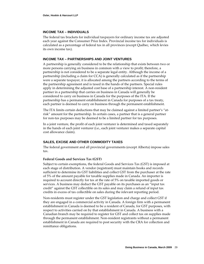#### **INCOME TAX – INDIVIDUALS**

The federal tax brackets for individual taxpayers for ordinary income tax are adjusted each year against the Consumer Price Index. Provincial income tax for individuals is calculated as a percentage of federal tax in all provinces (except Québec, which levies its own income tax).

#### **INCOME TAX – PARTNERSHIPS AND JOINT VENTURES**

A partnership is generally considered to be the relationship that exists between two or more persons carrying on business in common with a view to profit; therefore, a partnership is not considered to be a separate legal entity. Although the income of a partnership (including a claim for CCA) is generally calculated as if the partnership were a separate taxpayer, it is allocated among the partners according to the terms of the partnership agreement and is taxed in the hands of the partners. Special rules apply in determining the adjusted cost base of a partnership interest. A non‐resident partner in a partnership that carries on business in Canada will generally be considered to carry on business in Canada for the purposes of the ITA. If the partnership has a permanent establishment in Canada for purposes of a tax treaty, each partner is deemed to carry on business through the permanent establishment.

The ITA limits certain deductions that may be claimed against a limited partner's "at‐ risk" amount for the partnership. In certain cases, a partner that is a general partner for non‐tax purposes may be deemed to be a limited partner for tax purposes.

In a joint venture, the profit of each joint venturer is determined and taxed separately in the hands of each joint venturer (i.e., each joint venturer makes a separate capital cost allowance claim).

#### **SALES, EXCISE AND OTHER COMMODITY TAXES**

The federal government and all provincial governments (except Alberta) impose sales tax.

#### **Federal Goods and Services Tax (GST)**

Subject to certain exemptions, the federal Goods and Services Tax (GST) is imposed at each stage of distribution. A vendor (registrant) must maintain books and records sufficient to determine its GST liabilities and collect GST from the purchaser at the rate of 5% of the amount payable for taxable supplies made in Canada. An importer is required to account directly for tax at the rate of 5% on taxable imported goods or services. A business may deduct the GST payable on its purchases as an "input tax credit" against the GST collectible on its sales and may claim a refund of input tax credits in excess of tax collectible on sales during the relevant reporting period.

Non-residents must register under the GST legislation and charge and collect GST if they are engaged in a commercial activity in Canada. A foreign firm with a permanent establishment in Canada is deemed to be a resident of Canada, for GST purposes, with respect to activities carried on by that establishment in Canada. A business with a Canadian branch may be required to register for GST and collect tax on supplies made through the permanent establishment. Non‐resident registrants without a permanent establishment in Canada are required to post security with the CRA for collection and remittance obligations.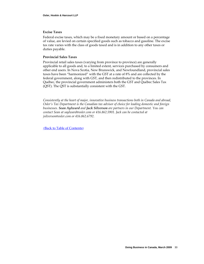#### **Excise Taxes**

Federal excise taxes, which may be a fixed monetary amount or based on a percentage of value, are levied on certain specified goods such as tobacco and gasoline. The excise tax rate varies with the class of goods taxed and is in addition to any other taxes or duties payable.

#### **Provincial Sales Taxes**

Provincial retail sales taxes (varying from province to province) are generally applicable to all goods and, to a limited extent, services purchased by consumers and other end users. In Nova Scotia, New Brunswick, and Newfoundland, provincial sales taxes have been "harmonized" with the GST at a rate of 8% and are collected by the federal government, along with GST, and then redistributed to the provinces. In Québec, the provincial government administers both the GST and Québec Sales Tax (QST). The QST is substantially consistent with the GST.

*Consistently at the heart of major, innovative business transactions both in Canada and abroad, Osler's Tax Department is the Canadian tax advisor of choice for leading domestic and foreign businesses. Sean Aylward and Jack Silverson are partners in our Department. You can contact Sean at saylward@osler.com or 416.862.5901. Jack can be contacted at jsilverson@osler.com or 416.862.6792.*

<Back to Table of [Contents>](#page-2-0)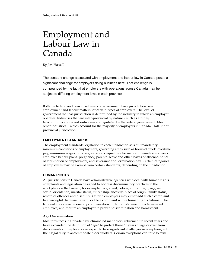### <span id="page-33-0"></span>Employment and Labour Law in Canada

By Jim Hassell

The constant change associated with employment and labour law in Canada poses a significant challenge for employers doing business here. That challenge is compounded by the fact that employers with operations across Canada may be subject to differing employment laws in each province.

Both the federal and provincial levels of government have jurisdiction over employment and labour matters for certain types of employers. The level of government that has jurisdiction is determined by the industry in which an employer operates. Industries that are inter‐provincial by nature – such as airlines, telecommunications and railways – are regulated by the federal government. Most other industries – which account for the majority of employers in Canada – fall under provincial jurisdiction.

#### **EMPLOYMENT STANDARDS**

The employment standards legislation in each jurisdiction sets out mandatory minimum conditions of employment, governing areas such as hours of work, overtime pay, minimum wages, holidays, vacations, equal pay for male and female employees, employee benefit plans, pregnancy, parental leave and other leaves of absence, notice of termination of employment, and severance and termination pay. Certain categories of employees may be exempt from certain standards, depending on the jurisdiction.

#### **HUMAN RIGHTS**

All jurisdictions in Canada have administrative agencies who deal with human rights complaints and legislation designed to address discriminatory practices in the workplace on the basis of, for example, race, creed, colour, ethnic origin, age, sex, sexual orientation, marital status, citizenship, ancestry, place of origin, family status, record of offences and disability. Ontario employees may either add such a complaint to a wrongful dismissal lawsuit or file a complaint with a human rights tribunal. The tribunal may award monetary compensation; order reinstatement of a terminated employee; and require an employer to prevent discrimination and harassment.

#### **Age Discrimination**

Most provinces in Canada have eliminated mandatory retirement in recent years and have expanded the definition of "age" to protect those 65 years of age or over from discrimination. Employers can expect to face significant challenges in complying with their legal duty to accommodate older workers. Certain exceptions continue to exist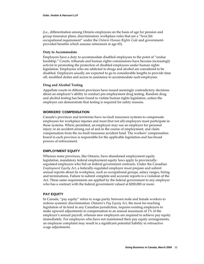(i.e., differentiation among Ontario employees on the basis of age for pension and group insurance plans, discriminatory workplace rules that are a "*bona fide* occupational requirement" under the *Ontario Human Rights Code* and government‐ provided benefits which assume retirement at age 65).

#### **Duty to Accommodate**

Employers have a duty to accommodate disabled employees to the point of "undue hardship." Courts, tribunals and human rights commissions have become increasingly activist in promoting the protection of disabled employees under human rights legislation. Employees who are addicted to drugs and alcohol are considered to be disabled. Employers usually are expected to go to considerable lengths to provide time off, modified duties and access to assistance to accommodate such employees.

#### **Drug and Alcohol Testing**

Appellate courts in different provinces have issued seemingly contradictory decisions about an employer's ability to conduct pre‐employment drug testing. Random drug and alcohol testing has been found to violate human rights legislation, unless the employer can demonstrate that testing is required for safety reasons.

#### **WORKERS' COMPENSATION**

Canada's provinces and territories have no‐fault insurance systems to compensate employees for workplace injuries and most (but not all) employers must participate in these systems. Where permitted, an employee may sue an employer for personal injury or an accident arising out of and in the course of employment, and claim compensation from the no‐fault insurance accident fund. The workers' compensation board in each province is responsible for the applicable legislation and has broad powers of enforcement.

#### **EMPLOYMENT EQUITY**

Whereas some provinces, like Ontario, have abandoned employment equity legislation, mandatory federal employment equity laws apply to provincially‐ regulated employers who bid on federal government contracts. Under the Canadian *Employment Equity Act*, a federally‐regulated employer must prepare and submit annual reports about its workplace, such as occupational groups, salary ranges, hiring and terminations. Failure to submit complete and accurate reports is a violation of the Act. These same requirements are applied by the federal government to any employer who has a contract with the federal government valued at \$200,000 or more.

#### **PAY EQUITY**

In Canada, "pay equity" refers to wage parity between male and female workers to redress systemic discrimination. Ontario's *Pay Equity Act*, the most far‐reaching legislation of its kind in any Canadian jurisdiction, requires existing employers to make upward adjustments in compensation to an annual maximum of 1% of the employer's annual payroll, whereas new employers are required to achieve pay equity immediately. For employers who have not maintained their pay equity arrangements, an employee complaint may result in a significant potential liability in retroactive wage adjustments.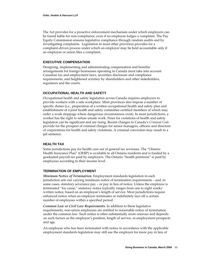The Act provides for a proactive enforcement mechanism under which employers can be found liable for non‐compliance, even if no employee lodges a complaint. The Pay Equity Commission ensures legislative compliance through random audits and by investigating complaints. Legislation in most other provinces provides for a complaint‐driven process under which an employer may be held accountable only if an employee or union files a complaint.

#### **EXECUTIVE COMPENSATION**

Designing, implementing and administrating compensation and benefits arrangements for foreign businesses operating in Canada must take into account Canadian tax and employment laws, securities disclosure and compliance requirements, and heightened scrutiny by shareholders and other stakeholders, regulators and the courts.

#### **OCCUPATIONAL HEALTH AND SAFETY**

Occupational health and safety legislation across Canada requires employers to provide workers with a safe workplace. Most provinces also impose a number of specific duties (i.e., preparation of a written occupational health and safety plan and establishment of a joint health and safety committee certified members of which may order a work stoppage where dangerous circumstances exist). In most jurisdictions, a worker has the right to refuse unsafe work. Fines for violations of health and safety legislation can be significant and are rising. Recent changes to Canada's *Criminal Code* provide for the prospect of criminal charges for senior managers, officers and directors of corporations for health and safety violations. A criminal conviction may result in a jail sentence.

#### **HEALTH TAX**

Some jurisdictions pay for health care out of general tax revenues. The "Ontario Health Insurance Plan" (OHIP) is available to all Ontario residents and is funded by a graduated payroll tax paid by employers. The Ontario "health premium" is paid by employees according to their income level.

#### **TERMINATION OF EMPLOYMENT**

*Minimum Notice of Termination*. Employment standards legislation in each jurisdiction sets out varying minimum notice of termination requirements – and, in some cases, statutory severance pay – or pay in lieu of notice. Unless the employee is terminated "for cause," statutory notice typically ranges from one to eight weeks' written notice, based on an employee's length of service. Most jurisdictions require enhanced notice when an employer terminates or indefinitely lays off a certain number of employees within a specified period.

*Common Law or Civil Law Requirements***.** In addition to these legislative requirements, non‐union employees are entitled to reasonable notice of termination under the common law. Such notice is often substantially more onerous and depends on such factors as the employee's position, length of service, re‐employment prospects and age.

An employee who has been terminated with notice in accordance with the applicable employment standards legislation may still sue the employer for more pay in lieu of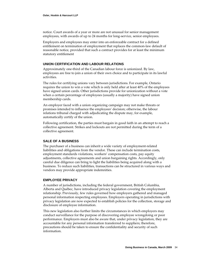notice. Court awards of a year or more are not unusual for senior management employees, with awards of up to 24 months for long-service, senior employees.

Employers and employees may enter into an enforceable contract for a defined entitlement on termination of employment that replaces the common-law default of reasonable notice, provided that such a contract provides for at least the minimum statutory entitlement

## **UNION CERTIFICATION AND LABOUR RELATIONS**

Approximately one‐third of the Canadian labour force is unionized. By law, employees are free to join a union of their own choice and to participate in its lawful activities.

The rules for certifying unions vary between jurisdictions. For example, Ontario requires the union to win a vote which is only held after at least 40% of the employees have signed union cards. Other jurisdictions provide for unionization without a vote when a certain percentage of employees (usually a majority) have signed union membership cards.

An employer faced with a union organizing campaign may not make threats or promises intended to influence the employees' decision; otherwise, the labour relations tribunal charged with adjudicating the dispute may, for example, automatically certify of the union.

Following certification, the parties must bargain in good faith in an attempt to reach a collective agreement. Strikes and lockouts are not permitted during the term of a collective agreement.

## **SALE OF A BUSINESS**

The purchaser of a business can inherit a wide variety of employment‐related liabilities and obligations from the vendor. These can include termination costs, employment standards violations, workers' compensation costs, pay equity adjustments, collective agreements and union bargaining rights. Accordingly, only careful due diligence can bring to light the liabilities being acquired along with a business. To reduce such liabilities, transactions can be structured in various ways and vendors may provide appropriate indemnities.

## **EMPLOYEE PRIVACY**

A number of jurisdictions, including the federal government, British Columbia, Alberta and Québec, have introduced privacy legislation covering the employment relationship. Previously, few rules governed how employers gathered and managed personal information respecting employees. Employers operating in jurisdictions with privacy legislation are now expected to establish policies for the collection, storage and disclosure of employee information.

This new legislation also further limits the circumstances in which employers may conduct surveillance for the purpose of discovering employee wrongdoing or poor performance. Employers must also be aware that, under privacy legislation, they are accountable for any personal information transferred to suppliers; therefore, precautions should be taken to ensure the confidentiality and security of such information.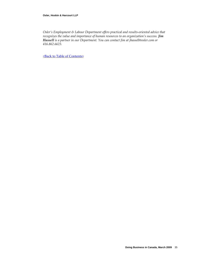*Osler's Employment & Labour Department offers practical and results‐oriented advice that recognizes the value and importance of human resources to an organization's success. Jim Hassell is a partner in our Department. You can contact Jim at [jhassell@osler.com](mailto:jhassel@osler.com) or 416.862.6623.*

<Back to Table of [Contents>](#page-2-0)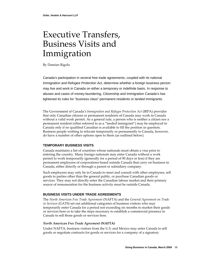## Executive Transfers, Business Visits and Immigration

By Damian Rigolo

Canada's participation in several free trade agreements, coupled with its national *Immigration and Refugee Protection Act*, determine whether a foreign business person may live and work in Canada on either a temporary or indefinite basis. In response to abuses and cases of money-laundering, Citizenship and Immigration Canada's has tightened its rules for "business class" permanent residents or landed immigrants.

The Government of Canada's *Immigration and Refugee Protection Act* (IRPA) provides that only Canadian citizens or permanent residents of Canada may work in Canada without a valid work permit. As a general rule, a person who is neither a citizen nor a permanent resident (often referred to as a "landed immigrant") may be employed in Canada only if no qualified Canadian is available to fill the position in question. Business people wishing to relocate temporarily or permanently to Canada, however, do have a number of other options open to them (as outlined below).

## **TEMPORARY BUSINESS VISITS**

Canada maintains a list of countries whose nationals must obtain a visa prior to entering the country. Many foreign nationals may enter Canada without a work permit to work temporarily (generally for a period of 90 days or less) if they are permanent employees of corporations based outside Canada that carry on business in Canada, either directly or through a parent or subsidiary company.

Such employees may only be in Canada to meet and consult with other employees, sell goods to parties other than the general public, or purchase Canadian goods or services. They may not directly enter the Canadian labour market and their primary source of remuneration for the business activity must be outside Canada.

## **BUSINESS VISITS UNDER TRADE AGREEMENTS**

The *North American Free Trade Agreement* (NAFTA) and the *General Agreement on Trade in Services* (GATS) set out additional categories of business visitors who may temporarily enter Canada for a period not exceeding six months to market their goods or services here or to take the steps necessary to establish a commercial presence in Canada to sell those goods or services here.

## *North American Free Trade Agreement* **(NAFTA)**

Under NAFTA, business visitors from the U.S. and Mexico may enter Canada to sell goods or negotiate contracts for goods or services for a company of a signatory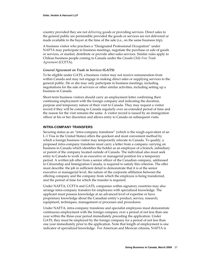country provided they are not *delivering* goods or providing services. Direct sales to the general public are permissible provided the goods or services are not delivered or made available to the buyer at the time of the sale (i.e., on the same business trip).

A business visitor who practises a "Designated Professional Occupation" under NAFTA may participate in business meetings, negotiate the purchase or sale of goods or services, or market, distribute or provide after‐sales services. Similar rules apply to Chilean business people coming to Canada under the *Canada‐Chile Free Trade Agreement* (CCFTA).

## *General Agreement on Trade in Services* **(GATS)**

To be eligible under GATS, a business visitor may not receive remuneration from within Canada and may not engage in making direct sales or supplying services to the general public. He or she may only participate in business meetings, including negotiations for the sale of services or other similar activities, including setting up a business in Canada.

Short-term business visitors should carry an employment letter confirming their continuing employment with the foreign company and indicating the duration, purpose and temporary nature of their visit to Canada. They may request a visitor record if they will be coming to Canada regularly over an extended period of time and the reason for the visit remains the same. A visitor record is issued by an immigration officer at his or her discretion and allows entry to Canada on subsequent visits.

#### **INTRA-COMPANY TRANSFERS**

Securing status as an "intra‐company transferee" (which is the rough equivalent of an L‐1 Visa in the United States) offers the quickest and most convenient method by which a foreign business visitor may temporarily relocate to Canada. To qualify, a proposed intra‐company transferee must carry a letter from a company carrying on business in Canada which identifies the holder as an employee of a branch, subsidiary or parent of the company located outside of Canada. The individual also must seek entry to Canada to work in an executive or managerial position for a temporary period. A written job offer from a senior officer of the Canadian company, addressed to Citizenship and Immigration Canada, is required to satisfy this criterion. The offer must describe: the job in sufficient detail to demonstrate that it is at the senior executive or managerial level, the nature of the corporate affiliation between the offering company and the company from which the employee is being transferred, and the period of time for which the transfer is required.

Under NAFTA, CCFTA and GATS, companies within signatory countries may also arrange intra‐company transfers for employees with specialized knowledge. The applicant must possess knowledge at an advanced level of expertise or have proprietary knowledge about the Canadian entity's product, service, research, equipment, techniques, management or processes and procedures.

Under NAFTA, intra‐company transferee and specialist employees must demonstrate continuous employment with the foreign company over a period of not less than one year within the three‐year period immediately preceding the application. Under GATS, they must be employed by the foreign company for a period of not less than one year immediately prior to the application. Note that length of employment is one indicator of specialized knowledge. For American and Mexican citizens, NAFTA is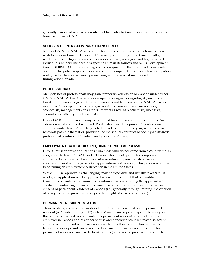generally a more advantageous route to obtain entry to Canada as an intra‐company transferee than is GATS.

## **SPOUSES OF INTRA-COMPANY TRANSFEREES**

Neither GATS nor NAFTA accommodates spouses of intra‐company transferees who wish to work in Canada. However, Citizenship and Immigration Canada will grant work permits to eligible spouses of senior executives, managers and highly skilled individuals without the need of a specific Human Resources and Skills Development Canada (HRSDC) temporary foreign worker approval in the form of a labour market opinion. This policy applies to spouses of intra‐company transferees whose occupation is eligible for the spousal work permit program under a list maintained by Immigration Canada.

## **PROFESSIONALS**

Many classes of professionals may gain temporary admission to Canada under either GATS or NAFTA. GATS covers six occupations: engineers, agrologists, architects, forestry professionals, geometrics professionals and land surveyors. NAFTA covers more than 60 occupations, including accountants, computer systems analysts, economists, management consultants, lawyers as well as biochemists, biologists, chemists and other types of scientists.

Under GATS, a professional may be admitted for a maximum of three months. An extension maybe granted with an HRSDC labour market opinion. A professional admitted under NAFTA will be granted a work permit for one year, with one‐year renewals possible thereafter, provided the individual continues to occupy a *temporary* professional position in Canada (usually less than 7 years).

## **EMPLOYMENT CATEGORIES REQUIRING HRSDC APPROVAL**

HRSDC must approve applications from those who do not come from a country that is a signatory to NAFTA, GATS or CCFTA or who do not qualify for temporary admission to Canada as a business visitor or intra‐company transferee or as an applicant in another foreign worker approval‐exempt category. This process is similar to obtaining an employment certification in the United States.

While HRSDC approval is challenging, may be expensive and usually takes 8 to 10 weeks, an application will be approved where there is proof that no qualified Canadians is available to assume the position, or where granting the approval will create or maintain significant employment benefits or opportunities for Canadian citizens or permanent residents of Canada (i.e., generally through training, the creation of new jobs, or the preservation of jobs that might otherwise disappear).

## **PERMANENT RESIDENT STATUS**

Those wishing to reside and work indefinitely in Canada must obtain permanent resident (or "landed immigrant") status. Many business people qualify to apply for this status as a skilled foreign worker. A permanent resident may work for any employer in Canada and his or her spouse and dependent children may also accept employment or attend school in Canada without authorization. However, while a temporary work permit can be obtained in a matter of weeks, an application for permanent residence can take 18 to 24 months (or longer) to process and complete.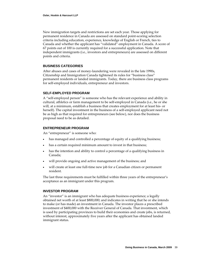New immigration targets and restrictions are set each year. Those applying for permanent residence in Canada are assessed on standard point‐scoring selection criteria including education, experience, knowledge of English or French, ties to Canada and whether the applicant has "validated" employment in Canada. A score of 67 points out of 100 is currently required for a successful application. Note that independent immigrants (i.e., investors and entrepreneurs) are assessed on different points and criteria.

## **BUSINESS CATEGORIES**

After abuses and cases of money‐laundering were revealed in the late 1990s, Citizenship and Immigration Canada tightened its rules for "business class" permanent residents or landed immigrants. Today, there are business class programs for self-employed individuals, entrepreneur and investors.

## **SELF-EMPLOYED PROGRAM**

A "self‐employed person" is someone who has the relevant experience and ability in cultural, athletics or farm management to be self‐employed in Canada (i.e., he or she will, at a minimum, establish a business that creates employment for at least his‐ or herself). The capital investment in the business of a self-employed applicant need not be as high as that required for entrepreneurs (see below), nor does the business proposal need to be as detailed.

## **ENTREPRENEUR PROGRAM**

An "entrepreneur" is someone who:

- has managed and controlled a percentage of equity of a qualifying business;
- has a certain required minimum amount to invest in that business;
- has the intention and ability to control a percentage of a qualifying business in Canada;
- will provide ongoing and active management of the business; and
- will create at least one full-time new job for a Canadian citizen or permanent resident.

The last three requirements must be fulfilled within three years of the entrepreneur's acceptance as an immigrant under this program.

## **INVESTOR PROGRAM**

An "investor" is an immigrant who has adequate business experience; a legally obtained net worth of at least \$800,000; and indicates in writing that he or she intends to make (or has made) an investment in Canada. The investor places a prescribed investment of \$400,000 with the Receiver General of Canada. That investment, which is used by participating provinces to build their economies and create jobs, is returned, without interest, approximately five years after the applicant has obtained landed immigrant status.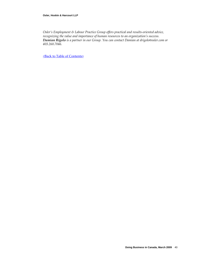*Osler's Employment & Labour Practice Group offers practical and results‐oriented advice, recognizing the value and importance of human resources to an organization's success. Damian Rigolo is a partner in our Group. You can contact Damian at drigolo@osler.com or 403.260.7046.*

<Back to Table of [Contents>](#page-2-0)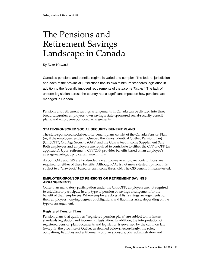## The Pensions and Retirement Savings Landscape in Canada

By Evan Howard

Canada's pensions and benefits regime is varied and complex. The federal jurisdiction and each of the provincial jurisdictions has its own minimum standards legislation in addition to the federally imposed requirements of the *Income Tax Act*. The lack of uniform legislation across the country has a significant impact on how pensions are managed in Canada.

Pensions and retirement savings arrangements in Canada can be divided into three broad categories: employees' own savings; state‐sponsored social‐security benefit plans; and employer‐sponsored arrangements.

## **STATE-SPONSORED SOCIAL SECURITY BENEFIT PLANS**

The state‐sponsored social‐security benefit plans consist of the Canada Pension Plan (or, if the employee resides in Québec, the almost identical Québec Pension Plan) (CPP/QPP), Old Age Security (OAS) and the Guaranteed Income Supplement (GIS). Both employees and employers are required to contribute to either the CPP or QPP (as applicable). Upon retirement, CPP/QPP provides benefits based on an employee's average earnings, up to certain maximums.

As both OAS and GIS are tax‐funded, no employee or employer contributions are required for either of these benefits. Although OAS is not means-tested up-front, it is subject to a "clawback" based on an income threshold. The GIS benefit *is* means-tested.

## **EMPLOYER-SPONSORED PENSIONS OR RETIREMENT SAVINGS ARRANGEMENTS**

Other than mandatory participation under the CPP/QPP, employers are not required to establish or participate in any type of pension or savings arrangement for the benefit of their employees. Where employers do establish savings arrangements for their employees, varying degrees of obligations and liabilities arise, depending on the type of arrangement.

## **Registered Pension Plans**

Pension plans that qualify as "registered pension plans" are subject to minimum standards legislation and income tax legislation. In addition, the interpretation of registered pension plan documents and legislation is governed by the common law (except in the province of Québec as detailed below). Accordingly, the roles, obligations, liabilities and entitlements of plan sponsors, plan administrators and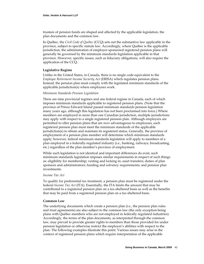trustees of pension funds are shaped and affected by the applicable legislation, the plan documents and the common law.

In Québec, the *Civil Code of Québec* (CCQ) sets out the substantive law applicable in the province, subject to specific statute law. Accordingly, where Québec is the applicable jurisdiction, the administration of employer‐sponsored registered pension plans will generally be governed by the minimum standards legislation applicable in that province. However, specific issues, such as fiduciary obligations, will also require the application of the CCQ.

## **Legislative Regime**

Unlike in the United States, in Canada, there is no single code equivalent to the *Employee Retirement Income Security Act* (ERISA) which regulates pension plans. Instead, the pension plan must comply with the legislated minimum standards of the applicable jurisdiction(s) where employees work.

#### *Minimum Standards Pension Legislation*

There are nine provincial regimes and one federal regime in Canada, each of which imposes minimum standards applicable to registered pension plans. (Note that the province of Prince Edward Island passed minimum standards pension legislation many years ago, although this legislation has not been proclaimed into force.) Where members are employed in more than one Canadian jurisdiction, multiple jurisdictions may apply with respect to a single registered pension plan. Although employers are permitted to offer pension plans that are *more* advantageous to employees, each registered pension plan must meet the minimum standards of the applicable jurisdiction(s) to obtain and maintain its registered status. Generally, the province of employment of a pension plan member will determine which minimum standards apply; however, federal minimum standards legislation will apply to members of a plan employed in a federally‐regulated industry (i.e., banking, railways, broadcasting, etc.) regardless of the plan member's province of employment.

While such legislation is not identical and important differences do exist, such minimum standards legislation imposes similar requirements in respect of such things as: eligibility for membership; vesting and locking in; asset transfers; duties of plan sponsors and administrators; funding and solvency requirements; and pension plan investments.

#### *Income Tax Act*

To qualify for preferential tax treatment, a pension plan must be registered under the federal *Income Tax Act* (ITA). Essentially, the ITA limits the amount that may be contributed to a registered pension plan on a tax‐sheltered basis as well as the benefits that may be paid from a registered pension plan on a tax‐sheltered basis.

#### **Common Law**

The underlying documents which create a pension plan (i.e., the pension plan rules and trust agreements) are also subject to the common law (the only exception being plans with Québec members who are not employed in federally regulated industries). Accordingly, the terms of the plan documents, as interpreted through the common law, may prevail to provide greater rights to members than those provided for under pension legislation or otherwise restrict the employer's abilities with respect to the plan. The following examples illustrate this point. Various issues may arise in the context of registered pension plans which require interpretation of the applicable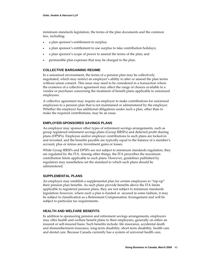minimum standards legislation, the terms of the plan documents and the common law, including:

- a plan sponsor's entitlement to surplus;
- a plan sponsor's entitlement to use surplus to take contribution holidays;
- a plan sponsor's scope of power to amend the terms of the plan; and
- permissible plan expenses that may be charged to the plan.

## **COLLECTIVE BARGAINING REGIME**

In a unionized environment, the terms of a pension plan may be collectively negotiated, which may restrict an employer's ability to alter or amend the plan terms without union consent. This issue may need to be considered in a transaction where the existence of a collective agreement may affect the range of choices available to a vendor or purchaser concerning the treatment of benefit plans applicable to unionized employees.

A collective agreement may require an employer to make contributions for unionized employees to a pension plan that is not maintained or administered by the employer. Whether the employer has additional obligations under such a plan, other than to make the required contributions, may be an issue.

## **EMPLOYER-SPONSORED SAVINGS PLANS**

An employer may sponsor other types of retirement savings arrangements, such as group registered retirement savings plans (Group RRSPs) and deferred profit sharing plans (DPSPs). Employee and/or employer contributions to such plans are locked‐in and invested, and the benefits payable are typically equal to the balance of a member's account, plus or minus any investment gains or losses.

While Group RRSPs and DPSPs are not subject to minimum standards regulation, they are regulated by the ITA. Among other things, the ITA prescribes the maximum contribution limits applicable to such plans. However, guidelines published by regulators may nonetheless set the standard to which such plans should be administered.

## **SUPPLEMENTAL PLANS**

An employer may establish a supplemental plan for certain employees to "top-up" their pension plan benefits. As such plans provide benefits above the ITA limits applicable to registered pension plans, they are not subject to minimum standards legislation; however, where such a plan is funded or secured in some fashion, it may be subject to classification as a Retirement Compensation Arrangement and will be subject to particular tax requirements.

## **HEALTH AND WELFARE BENEFITS**

In addition to sponsoring pension and retirement savings arrangements, employers may offer health and welfare benefit plans to their employees, generally on either an insured or self‐insured basis. Such benefits include: life insurance, accidental death and dismemberment insurance, long-term disability, short-term disability, health care and dental care. Because Canada currently has a system of universal health care,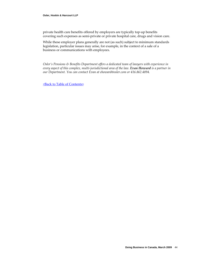private health care benefits offered by employers are typically top‐up benefits covering such expenses as semi‐private or private hospital care, drugs and vision care.

While these employer plans generally are not (as such) subject to minimum standards legislation, particular issues may arise, for example, in the context of a sale of a business or communications with employees.

*Osler's Pensions & Benefits Department offers a dedicated team of lawyers with experience in every aspect of this complex, multi‐jurisdictional area of the law. Evan Howard is a partner in our Department. You can contact Evan at ehoward@osler.com or 416.862.4894.*

<Back to Table of [Contents>](#page-2-0)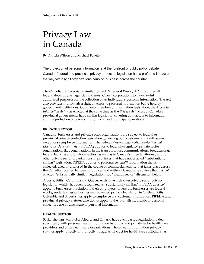## Privacy Law in Canada

By Patricia Wilson and Michael Fekete

The protection of personal information is at the forefront of public policy debate in Canada. Federal and provincial privacy protection legislation has a profound impact on the way virtually all organizations carry on business across the country.

The Canadian *Privacy Act* is similar to the U.S. federal *Privacy Act*. It requires all federal departments, agencies and most Crown corporations to have lawful, authorized purposes for the collection of an individual's personal information. The Act also provides individuals a right of access to personal information being held by government institutions. Companion freedom of information legislation, the *Access to Information Act*, was enacted at the same time as the *Privacy Act*. Most of Canada's provincial governments have similar legislation covering both access to information and the protection of privacy in provincial and municipal operations.

## **PRIVATE SECTOR**

Canadian businesses and private sector organizations are subject to federal or provincial privacy protection legislation governing both customer and (with some exceptions) employee information. The federal *Person*a*l Information Protection and Electronic Documents Act* (PIPEDA) applies to federally‐regulated private sector organizations (i.e., organizations in the transportation, communications, broadcasting, federal banking and offshore sectors, as well as in Canada's three territories), and to other private sector organizations in provinces that have not enacted "substantially similar" legislation. PIPEDA applies to personal *and health* information that is collected, used or disclosed in the course of commercial activity that takes place across the Canadian border, between provinces and within a Canadian province that has *not* enacted "substantially similar" legislation (see "Health Sector" discussion below).

Alberta, British Columbia and Québec each have their own private sector privacy legislation which has been recognized as "substantially similar." PIPEDA does *not* apply to businesses in relation to their employees, unless the businesses are federal works, undertakings or businesses. However, privacy legislation in Québec, British Columbia and Alberta *does* apply to employee and customer information. PIPEDA and provincial privacy statutes also do not apply to the journalistic, artistic or personal collection, use or disclosure of personal information.

## **HEALTH SECTOR**

Saskatchewan, Manitoba, Alberta and Ontario have each passed legislation to deal specifically with personal health information by public and private sector health care providers and other health care organizations. These health information privacy statutes apply, directly or indirectly, to agents who act for health care custodians, as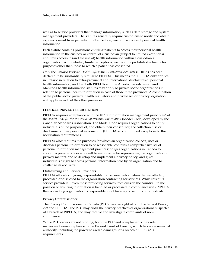well as to service providers that manage information, such as data storage and system management providers. The statutes generally require custodians to notify and obtain express consent from patients for all collection, use or disclosure of personal health information.

Each statute contains provisions entitling patients to access their personal health information in the custody or control of a custodian (subject to limited exceptions), and limits access to (and the use of) health information within a custodian's organization. With detailed, limited exceptions, each statute prohibits disclosure for purposes other than those to which a patient has consented.

Only the Ontario *Personal Health Information Protection Act 2004* (PHIPA) has been declared to be substantially similar to PIPEDA. This means that PIPEDA only applies in Ontario in relation to extra‐provincial and international disclosures of personal health information, and that both PIPEDA and the Alberta, Saskatchewan and Manitoba health information statutes may apply to private sector organizations in relation to personal health information in each of those three provinces. A combination of the public sector privacy, health regulatory and private sector privacy legislation will apply in each of the other provinces.

## **FEDERAL PRIVACY LEGISLATION**

PIPEDA requires compliance with the 10 "fair information management principles" of the *Model Code for the Protection of Personal Information* (Model Code) developed by the Canadian Standards Association. The Model Code requires organizations to notify individuals of the purposes of, and obtain their consent for, the collection, use or disclosure of their personal information. (PIPEDA sets out limited exceptions to this notification requirement.)

PIPEDA also: requires the purposes for which an organization collects, uses or discloses personal information to be reasonable; contains a comprehensive set of personal information management practices; obliges organizations in Canada to appoint a privacy officer who will be responsible for representing the organization in privacy matters, and to develop and implement a privacy policy; and gives individuals a right to access personal information held by an organization and to challenge its accuracy.

#### **Outsourcing and Service Providers**

PIPEDA allocates ongoing responsibility for personal information that is collected, processed or disclosed to the organization contracting for services. While this puts service providers – even those providing services from outside the country – in the position of ensuring information is handled or processed in compliance with PIPEDA, the contracting organization is responsible for obtaining consent from individuals.

#### **Privacy Commissioner**

The Privacy Commissioner of Canada (PCC) has oversight of both the federal *Privacy Act* and PIPEDA. The PCC may audit the privacy practices of organizations suspected of a breach of PIPEDA, and may receive and investigate complaints of non‐ compliance.

While PCC orders are not binding, both the PCC and complainants may refer instances of non‐compliance to the Federal Court of Canada, which has wide remedial authority, including the power to award damages for a breach of PIPEDA's requirements.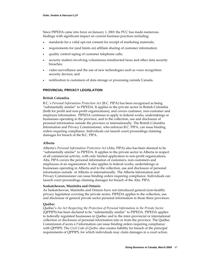Since PIPEDA came into force on January 1, 2001 the PCC has made numerous findings with significant impact on current business practices including:

- standards for a valid opt‐out consent for receipt of marketing materials;
- requirements for (and limits on) affiliate sharing of customer information;
- quality control taping of customer telephone calls;
- security matters involving voluminous misdirected faxes and other data security breaches;
- video surveillance and the use of new technologies such as voice recognition security devices; and
- notification to customers of data storage or processing outside Canada.

## **PROVINCIAL PRIVACY LEGISLATION**

#### **British Columbia**

B.C.'s *Personal Information Protection Act* (B.C. PIPA) has been recognized as being "substantially similar" to PIPEDA. It applies to the private sector in British Columbia (both for profit and non‐profit organizations), and covers customer, non‐customer and employee information. PIPEDA continues to apply to federal works, undertakings or businesses operating in the province, and to the collection, use and disclosure of personal information outside the province or internationally. The British Columbia Information and Privacy Commissioner, who enforces B.C. PIPA, can issue binding orders requiring compliance. Individuals can launch court proceedings claiming damages for breach of the B.C. PIPA.

#### **Alberta**

Alberta's *Personal Information Protection Act* (Alta. PIPA) also has been deemed to be "substantially similar" to PIPEDA. It applies to the private sector in Alberta in respect of all commercial activity, with only limited application to non‐profit organizations. Alta. PIPA covers the personal information of customers, non‐customers and employees of an organization. It also applies to federal works, undertakings or businesses operating in Alberta and to the collection, use and disclosure of personal information outside of Alberta or internationally. The Alberta Information and Privacy Commissioner can issue binding orders requiring compliance. Individuals can launch court proceedings claiming damages for breach of the Alta. PIPA.

#### **Saskatchewan, Manitoba and Ontario**

As Saskatchewan, Manitoba and Ontario have not introduced general (non‐health) privacy legislation covering the private sector, PIPEDA applies to the collection, use and disclosure of general private sector personal information in those three provinces.

#### **Québec**

Québec's *An Act Respecting the Protection of Personal Information in the Private Sector* (QPPIPS) has been declared to be "substantially similar" to PIPEDA. PIPEDA applies to federally regulated businesses in Québec and to the inter‐provincial or international collection or disclosure of personal information into or from the province. The Québec Commission d'accès à l'information can issue binding orders requiring compliance with QPPIPS. The *Civil Code of Québec* also creates liability for breach of the principal requirements of QPPIPS, for which individuals may claim damages in a court action.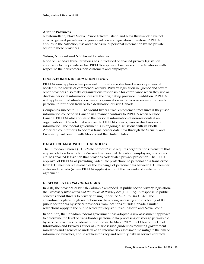## **Atlantic Provinces**

Newfoundland, Nova Scotia, Prince Edward Island and New Brunswick have not enacted general private sector provincial privacy legislation; therefore, PIPEDA applies to the collection, use and disclosure of personal information by the private sector in these provinces.

## **Yukon, Nunavut and Northwest Territories**

None of Canada's three territories has introduced or enacted privacy legislation applicable to the private sector. PIPEDA applies to businesses in the territories with respect to their customers, non‐customers and employees.

## **CROSS-BORDER INFORMATION FLOWS**

PIPEDA now applies when personal information is disclosed across a provincial border in the course of commercial activity. Privacy legislation in Québec and several other provinces also make organizations responsible for compliance when they use or disclose personal information outside the originating province. In addition, PIPEDA will apply in most situations where an organization in Canada receives or transmits personal information from or to a destination outside Canada.

Companies subject to PIPEDA would likely attract enforcement measures if they used information collected in Canada in a manner contrary to PIPEDA when outside Canada. PIPEDA also applies to the personal information of non‐residents if an organization in Canada that is subject to PIPEDA collects, uses or discloses such information. The federal government is in ongoing discussions with its North American counterparts to address trans‐border data flow through the Security and Prosperity Partnership with Mexico and the United States.

## **DATA EXCHANGE WITH E.U. MEMBERS**

The European Union's (E.U.) "safe harbour" rule requires organizations to ensure that any jurisdiction to which they're sending personal data about employees, customers, etc. has enacted legislation that provides "adequate" privacy protection. The E.U.'s approval of PIPEDA as providing "adequate protection" to personal data transferred from E.U. member states enables the exchange of personal data between E.U. member states and Canada (where PIPEDA applies) without the necessity of a safe harbour agreement.

## **RESPONSES TO** *USA PATRIOT ACT*

In 2004, the province of British Columbia amended its public sector privacy legislation, the *Freedom of Information and Protection of Privacy Act* (FOIPPA), in response to public concerns about threats to privacy arising under the *USA PATRIOT Act*. The amendments place tough restrictions on the storing, accessing and disclosing of B.C. public sector data by service providers from locations outside Canada. Similar restrictions apply in the public sector privacy statutes of Alberta and Nova Scotia.

In addition, the Canadian federal government has adopted a risk assessment approach to determine the level of trans‐border personal data processing or storage permissible by service providers to federal public bodies. In March 2007, the Office of the Chief Information and Privacy Officer of Ontario issued guidelines requiring government ministries and agencies to undertake an internal risk assessment to mitigate the risk of information breaches, and to address privacy and security risks in service contracts.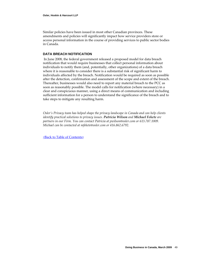Similar policies have been issued in most other Canadian provinces. These amendments and policies will significantly impact how service providers store or access personal information in the course of providing services to public sector bodies in Canada.

## **DATA BREACH NOTIFICATION**

In June 2008, the federal government released a proposed model for data breach notification that would require businesses that collect personal information about individuals to notify them (and, potentially, other organizations) of a data breach where it is reasonable to consider there is a substantial risk of significant harm to individuals affected by the breach. Notification would be required as soon as possible after the detection, confirmation and assessment of the scope and extent of the breach. Thereafter, businesses would also need to report any material breach to the PCC as soon as reasonably possible. The model calls for notification (where necessary) in a clear and conspicuous manner, using a direct means of communication and including sufficient information for a person to understand the significance of the breach and to take steps to mitigate any resulting harm.

*Osler's Privacy team has helped shape the privacy landscape in Canada and can help clients identify practical solutions to privacy issues. Patricia Wilson and Michael Fekete are partners in our Firm. You can contact Patricia at pwilson@osler.com or 613.787.1009. Michael can be contacted at mfekete@osler.com or 416.862.6792.*

<Back to Table of [Contents>](#page-2-0)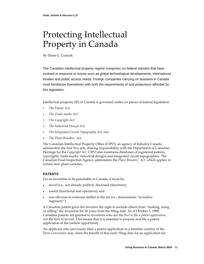# Protecting Intellectual Property in Canada

By Diane E. Cornish

The Canadian intellectual property regime comprises six federal statutes that have evolved in response to issues such as global technological developments, international treaties and public access needs. Foreign companies carrying on business in Canada must familiarize themselves with both the requirements of and protections afforded by this legislation.

Intellectual property (IP) in Canada is governed under six pieces of federal legislation:

- *1. The Patent Act;*
- *2. The Trade‐marks Act;*
- *3. The Copyright Act;*
- *4. The Industrial Design Act;*
- *5. The Integrated Circuit Topography Act; and*
- 6. *The Plant Breedersʹ Act.*

The Canadian Intellectual Property Office (CIPO), an agency of Industry Canada, administers the first five acts, sharing responsibility with the Department of Canadian Heritage for the *Copyright Act*. CIPO also maintains databases of registered patents, copyrights, trade‐marks, industrial designs and integrated circuit topographies. The Canadian Food Inspection Agency administers the *Plant Breedersʹ Act*, which applies to certain new plant varieties.

## **PATENTS**

For an invention to be patentable in Canada, it must be:

- novel (i.e., not already publicly disclosed elsewhere);
- useful (functional and operative); and
- non‐obvious to someone skilled in the art (i.e., demonstrate "inventive ingenuity").

A Canadian patent gives the inventor the right to exclude others from "making, using or selling" the invention for 20 years from the filing date. As of October 1, 1989, Canadian patents are granted to inventors who are the *first to file a patent application*, not the first to invent. This means that it is essential to prepare and file a patent application at the earliest opportunity.

An applicant who previously filed a patent application in a member country of the *Paris Convention* may claim the benefit of that early filing date for an application for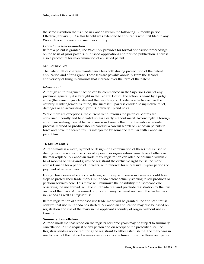the same invention that is filed in Canada within the following 12‐month period. Effective January 1, 1996 this benefit was extended to applicants who first filed in any World Trade Organization member country.

#### *Protest and Re‐examination*

Before a patent is granted, the *Patent Act* provides for formal opposition proceedings on the basis of prior patents, published applications and printed publication. There is also a procedure for re‐examination of an issued patent.

#### *Maintenance Fees*

The Patent Office charges maintenance fees both during prosecution of the patent application and after a grant. These fees are payable annually from the second anniversary of filing in amounts that increase over the term of the patent.

#### *Infringement*

Although an infringement action can be commenced in the Superior Court of any province, generally it is brought in the Federal Court. The action is heard by a judge alone (there are no jury trials) and the resulting court order is effective across the country. If infringement is found, the successful party is entitled to injunctive relief, damages or an accounting of profits, delivery up and costs.

While there are exceptions, the current trend favours the patentee; claims are construed liberally and held valid unless clearly without merit. Accordingly, a foreign enterprise seeking to establish a business in Canada that might involve a patented process, method or product should conduct a careful search of Canadian patents in force and have the search results interpreted by someone familiar with Canadian patent law.

## **TRADE-MARKS**

A trade‐mark is a word, symbol or design (or a combination of these) that is used to distinguish the wares or services of a person or organization from those of others in the marketplace. A Canadian trade‐mark registration can often be obtained within 20 to 24 months of filing and gives the registrant the exclusive right to use the mark across Canada for a period of 15 years, with renewal for successive 15‐year periods on payment of renewal fees.

Foreign businesses who are considering setting up a business in Canada should take steps to protect their trade‐marks in Canada before actually starting to sell products or perform services here. This move will minimize the possibility that someone else, observing the use abroad, will file in Canada first and preclude registration by the true owner of the mark. A trade‐mark application may be based on use of the trade‐mark in Canada as well as *proposed* use.

Before registration of a proposed use trade‐mark will be granted, the applicant must confirm that use in Canada has started. A Canadian application may also be based on registration and use of the mark in the applicantʹs country of origin, without use in Canada.

#### **Summary Cancellation**

A trade‐mark that has stood on the register for three years may be subject to summary cancellation. At the request of any person and on receipt of the prescribed fee, the Registrar sends a notice requiring the registrant to either establish that the mark was in use for each of the defined wares or services at some time during the three‐year period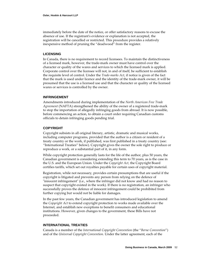immediately before the date of the notice, or offer satisfactory reasons to excuse the absence of use. If the registrantʹs evidence or explanation is not accepted, the registration will be cancelled or restricted. This procedure provides a relatively inexpensive method of pruning the "deadwood" from the register.

## **LICENSING**

In Canada, there is no requirement to record licensees. To maintain the distinctiveness of a licensed mark, however, the trade‐mark owner must have control over the character or quality of the wares and services to which the licensed mark is applied. Corporate control over the licensee will not, in and of itself, be sufficient to establish the requisite level of control. Under the *Trade‐marks Act*, if notice is given of the fact that the mark is used under licence and the identity of the trade‐mark owner, it will be presumed that the use is a licensed use and that the character or quality of the licensed wares or services is controlled by the owner.

## **INFRINGEMENT**

Amendments introduced during implementation of the *North American Free Trade Agreement* (NAFTA) strengthened the ability of the owner of a registered trade‐mark to stop the importation of allegedly infringing goods from abroad. It is now possible, before commencing an action, to obtain a court order requiring Canadian customs officials to detain infringing goods pending trial.

## **COPYRIGHT**

Copyright subsists in all original literary, artistic, dramatic and musical works, including computer programs, provided that the author is a citizen or resident of a treaty country or the work, if published, was first published in a treaty country (see: "International Treaties" below). Copyright gives the owner the sole right to produce or reproduce a work, or a substantial part of it, in any form.

While copyright protection generally lasts for the life of the author, plus 50 years, the Canadian government is considering extending this term to 70 years, as is the case in the U.S. and the European Union. Under the *Copyright Act*, the Copyright Board certifies tariffs, which set out royalties payable for certain uses of copyright material.

Registration, while not necessary, provides certain presumptions that are useful if the copyright is litigated and prevents any person from relying on the defence of "innocent infringement" (i.e., where the infringer did not know and had no reason to suspect that copyright existed in the work). If there is no registration, an infringer who successfully proves the defence of innocent infringement could be prohibited from further copying but would not be liable for damages.

In the past few years, the Canadian government has introduced legislation to amend the *Copyright Act* to extend copyright protection to works made available over the Internet, and establish new exceptions to benefit consumers and educational institutions. However, given changes to the government, these Bills have not proceeded.

## **INTERNATIONAL TREATIES**

Canada is a member of the *International Copyright Convention* (the "*Berne Convention*") and of the *Universal Copyright Convention*. Under the latter agreement, each of the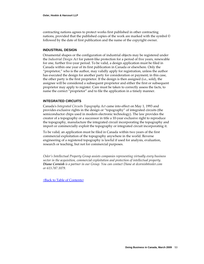contracting nations agrees to protect works first published in other contracting nations, provided that the published copies of the work are marked with the symbol © followed by the date of first publication and the name of the copyright owner.

## **INDUSTRIAL DESIGN**

Ornamental shapes or the configuration of industrial objects may be registered under the *Industrial Design Act* for patent‐like protection for a period of five years, renewable for one, further five‐year period. To be valid, a design application must be filed in Canada within one year of its first publication in Canada or elsewhere. Only the "proprietor," who is the author, may validly apply for registration, unless the author has executed the design for another party for consideration or payment; in this case, the other party is the first proprietor. If the design is then assigned (i.e., sold), the assignee will be considered a subsequent proprietor and either the first or subsequent proprietor may apply to register. Care must be taken to correctly assess the facts, to name the correct "proprietor" and to file the application in a timely manner.

## **INTEGRATED CIRCUITS**

Canadaʹs *Integrated Circuits Topography Act* came into effect on May 1, 1993 and provides exclusive rights in the design or "topography" of integrated circuits (the semiconductor chips used in modern electronic technology). The law provides the creator of a topography or a successor in title a 10‐year exclusive right to reproduce the topography, manufacture the integrated circuit incorporating the topography and import or commercially exploit the topography or integrated circuit incorporating it.

To be valid, an application must be filed in Canada within two years of the first commercial exploitation of the topography anywhere in the world. Reverse engineering of a registered topography is lawful if used for analysis, evaluation, research or teaching, but not for commercial purposes.

*Osler's Intellectual Property Group assists companies representing virtually every business sector in the acquisition, commercial exploitation and protection of intellectual property. Diane Cornish is a partner in our Group. You can contact Diane at dcornish@osler.com or 613.787.1079.*

<Back to Table of [Contents>](#page-2-0)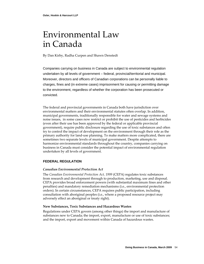## Environmental Law in Canada

By Dan Kirby, Radha Curpen and Shawn Denstedt

Companies carrying on business in Canada are subject to environmental regulation undertaken by all levels of government – federal, provincial/territorial and municipal. Moreover, directors and officers of Canadian corporations can be personally liable to charges, fines and (in extreme cases) imprisonment for causing or permitting damage to the environment, regardless of whether the corporation has been prosecuted or convicted.

The federal and provincial governments in Canada both have jurisdiction over environmental matters and their environmental statutes often overlap. In addition, municipal governments, traditionally responsible for water and sewage systems and noise issues, in some cases now restrict or prohibit the use of pesticides and herbicides (even after their use has been approved by the federal or applicable provincial government), require public disclosure regarding the use of toxic substances and often try to control the impact of development on the environment through their role as the primary authority for land‐use planning. To make matters more complicated, there are sometimes two separate levels of municipal government. Despite attempts to harmonize environmental standards throughout the country, companies carrying on business in Canada must consider the potential impact of environmental regulation undertaken by all levels of government.

## **FEDERAL REGULATION**

## *Canadian Environmental Protection Act*

The *Canadian Environmental Protection Act, 1999* (CEPA) regulates toxic substances from research and development through to production, marketing, use and disposal. CEPA provides broad enforcement powers (with substantial maximum fines and other penalties) and mandatory remediation mechanisms (i.e., environmental protection orders). In certain circumstances, CEPA requires public participation, including consultation with aboriginal peoples (i.e., where a proposed resource project may adversely effect an aboriginal or treaty right).

## **New Substances, Toxic Substances and Hazardous Wastes**

Regulations under CEPA govern (among other things) the import and manufacture of substances new to Canada; the import, export, manufacture or use of toxic substances; and the import, export and movement within Canada of hazardous wastes.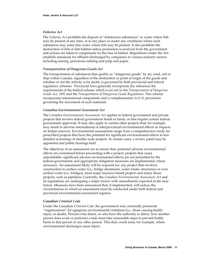## *Fisheries Act*

The *Fisheries Act* prohibits the deposit of "deleterious substances" in water where fish may be present at any time, or in any place or under any conditions where such substances may enter into water where fish may be present. It also prohibits the destruction of fish or fish habitat unless permission is received from the government and actions are taken to compensate for the loss of habitat. Regulations under the Act establish standards for effluent discharged by companies in various industry sectors including mining, petroleum refining and pulp and paper.

#### *Transportation of Dangerous Goods Act*

The transportation of substances that qualify as "dangerous goods" by air, road, rail or ship within Canada, regardless of the destination or point of origin of the goods and whether or not the activity is for profit, is governed by both provincial and federal regulatory schemes. Provincial laws generally incorporate (by reference) the requirements of the federal scheme which is set out in the *Transportation of Dangerous Goods Act, 1992* and the *Transportation of Dangerous Goods Regulations*. This scheme incorporates international components and is complementary to U.S. provisions governing the movement of such materials.

#### *Canadian Environmental Assessment Act*

The *Canadian Environmental Assessment Act* applies to federal government and private projects that involve federal government funds or lands, or that require certain federal government approvals. It may also apply to certain other projects that, for example, may result in adverse international or interprovincial environmental effects or impacts on Indian reserves. Environmental assessments range from a comprehensive study for prescribed projects that have the potential for significant environmental effects to less detailed screenings of smaller scale projects. In certain cases, a review panel may be appointed and public hearings held.

The objectives of an assessment are to ensure that: potential adverse environmental effects are considered before proceeding with a project; projects that cause unjustifiable, significant adverse environmental effects are not permitted by the federal government; and appropriate mitigation measures are implemented, where necessary. An assessment likely will be required for: any project that involves construction in surface water (i.e., bridge abutments, water intake structures) or over surface water (i.e., bridges), most major resource‐based projects and many linear projects, such as pipelines. Currently, the *Canadian Environmental Assessment Act* and its regulations are undergoing a major review with amendments expected in the near future. Measures have been announced that, if implemented, will reduce the circumstances in which an assessment must be conducted under both federal and provincial environmental assessment regimes.

## **Canadian** *Criminal Code*

Under the Canadian *Criminal Code*, the government may criminally prosecute "organizations" for egregious environmental violations (i.e., those causing bodily injury or death). Persons who direct, or who have the authority to direct, how another person does work or performs a task must take reasonable steps to prevent bodily harm to that person or any other person. This duty could arise, for example, where environmental discharges cause injury.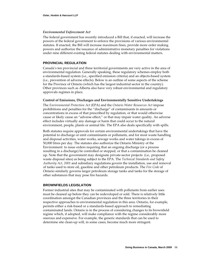## *Environmental Enforcement Act*

The federal government has recently introduced a Bill that, if enacted, will increase the powers of the federal government to enforce the provisions of various environmental statutes. If enacted, the Bill will increase maximum fines, provide more order making powers and authorize the issuance of administrative monetary penalties for violations under nine different existing federal statutes dealing with environmental matters.

#### **PROVINCIAL REGULATION**

Canada's ten provincial and three territorial governments are very active in the area of environmental regulation. Generally speaking, these regulatory schemes employ both a standards‐based system (i.e., specified emission criteria) and an objects‐based system (i.e., prevention of adverse effects). Below is an outline of some aspects of the scheme for the Province of Ontario (which has the largest industrial sector in the country). Other provinces such as Alberta also have very robust environmental and regulatory approvals regimes in place.

#### **Control of Emissions, Discharges and Environmentally Sensitive Undertakings**

The *Environmental Protection Act* (EPA) and the *Ontario Water Resources Act* impose prohibitions and penalties for the "discharge" of contaminants in amounts or concentrations in excess of that prescribed by regulation, or that would otherwise cause or likely cause an "adverse effect," or that may impair water quality. An adverse effect includes virtually any damage or harm that could occur to the natural environment, people, plants or animal life. The EPA also deals specifically with spills.

Both statutes require approvals for certain environmental undertakings that have the potential to discharge or emit contaminants or pollutants, and for most waste handling and disposal activities, water works, sewage works and water takings in excess of 50,000 litres per day. The statutes also authorize the Ontario Ministry of the Environment to issue orders requiring that an ongoing discharge (or a process resulting in a discharge) be controlled or stopped, or that a contamination be cleaned up. Note that the government may designate private‐sector projects (i.e., proposed waste disposal sites) as being subject to the EPA. The *Technical Standards and Safety Authority Act, 2001* and subsidiary regulations govern the installation, use and removal of tanks used to store oil, gasoline and other petroleum products. The *Fire Code* of Ontario similarly governs larger petroleum storage tanks and tanks for the storage of other substances that may pose fire hazards.

## **BROWNFIELDS LEGISLATION**

Former industrial sites that may be contaminated with pollutants from earlier uses must be cleaned up before they can be redeveloped or sold. There is relatively little coordination amongst the Canadian provinces and the three territories in their respective approaches to environmental regulation in this area. Ontario, for example, permits either a risk‐based or a standards‐based approach to remediating contaminated lands. Ontario is in the process of considering changes to its brownfield regime which, if adopted, will make compliance with the regime considerably more onerous and expensive. For example, the generic standards that can be used to determine site clean‐up will, in some cases, become much more stringent.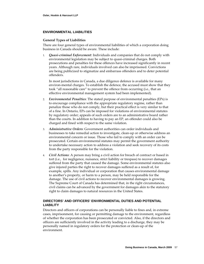## **ENVIRONMENTAL LIABILITIES**

## **General Types of Liabilities**

There are four general types of environmental liabilities of which a corporation doing business in Canada should be aware. These include:

1. *Quasi‐criminal Enforcement*: Individuals and companies that do not comply with environmental legislation may be subject to quasi‐criminal charges. Both prosecutions and penalties for these offences have increased significantly in recent years. Although rare, individuals involved can also be imprisoned. Convictions are being publicized to stigmatize and embarrass offenders and to deter potential offenders.

In most jurisdictions in Canada, a due diligence defence is available for many environ-mental charges. To establish the defence, the accused must show that they took "all reasonable care" to prevent the offence from occurring (i.e., that an effective environmental management system had been implemented).

- 2. *Environmental Penalties*: The stated purpose of environmental penalties (EPs) is to encourage compliance with the appropriate regulatory regime, rather than penalize those who do not comply, but their practical effect is very similar to that of a fine. In Ontario, EPs can be imposed for violations of environmental statutes by regulatory order; appeals of such orders are to an administrative board rather than the courts. In addition to having to pay an EP, an offender could also be charged and fined with respect to the same violation.
- 3. *Administrative Orders*: Government authorities can order individuals and businesses to take remedial action to investigate, clean‐up or otherwise address an environmental concern or issue. Those who fail to comply with an order can be prosecuted. Certain environmental statutes may permit the government authority to undertake necessary action to address a violation and seek recovery of its costs from the party responsible for the violation.
- 4. *Civil Actions*: A person may bring a civil action for breach of contract or based in tort (i.e., for negligence, nuisance, strict liability or trespass) to recover damages suffered from the party that caused the damage. Some environmental statutes also give injured parties the right to recover damages suffered as a result of, for example, spills. Any individual or corporation that causes environmental damage to another's property, or harm to a person, may be held responsible for the damage. The use of civil actions to recover environmental damages is growing. The Supreme Court of Canada has determined that, in the right circumstances, civil claims can be advanced by the government for damages akin to the statutory right to claim damages to natural resources in the United States.

## **DIRECTORS' AND OFFICERS' ENVIRONMENTAL DUTIES AND POTENTIAL LIABILITY**

Directors and officers of corporations can be personally liable to fines and, in extreme cases, imprisonment, for causing or permitting damage to the environment, regardless of whether the corporation has been prosecuted or convicted. Also, if the directors and officers are sufficiently involved in the activity leading to a discharge, they may be personally named in regulatory orders for the protection or clean‐up of the environment.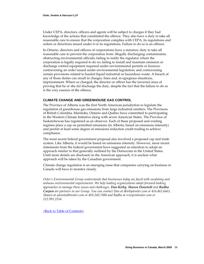Under CEPA, directors, officers and agents will be subject to charges if they had knowledge of the actions that constituted the offence. They also have a duty to take all reasonable care to ensure that the corporation complies with CEPA, its regulations and orders or directions issued under it or its regulations. Failure to do so is an offence.

In Ontario, directors and officers of corporations have a statutory duty to take all reasonable care to prevent the corporation from: illegally discharging contaminants; obstructing environmental officials; failing to notify the regulator where the corporation is legally required to do so; failing to install and maintain emission or discharge control equipment required under environmental permits or licences; contravening an order issued under environmental legislation; and contravening certain provisions related to hauled liquid industrial or hazardous waste. A breach of any of those duties can result in charges, fines and, in egregious situations, imprisonment. Where so charged, the director or officer has the (reverse) onus of proving that he or she *did* discharge the duty, despite the fact that the failure to do so is the very essence of the offence.

## **CLIMATE CHANGE AND GREENHOUSE GAS CONTROL**

The Province of Alberta was the first North American jurisdiction to legislate the regulation of greenhouse gas emissions from large industrial emitters. The Provinces of British Columbia, Manitoba, Ontario and Québec have committed to participating in the Western Climate Initiative along with seven American States. The Province of Saskatchewan has registered as an observer. Each of these proposed and existing regimes place a cap on permitted emissions (in Alberta, based on emissions intensity) and permit at least some degree of emissions reduction credit trading to achieve compliance.

The most recent federal government proposal also involved a proposed cap and trade system. Like Alberta, it would be based on emissions intensity. However, more recent statements from the federal government have suggested an intention to adopt an approach similar to that generally outlined by the Democrats in the United States. Until more details are disclosed on the American approach, it is unclear what approach will be taken by the Canadian government.

Climate change regulation is an emerging issue that companies carrying on business in Canada will have to monitor closely.

*Osler's Environmental Group understands that businesses today are faced with escalating and arduous environmental requirements. We help leading organizations adopt forward‐looking approaches to manage these issues and challenges. Dan Kirby, Shawn Denstedt and Radha Curpen are partners in our Group. You can contact Dan at dkirby@osler.com or 416.862.6661, Shawn at sdenstedt@osler.com or 403.260.7088 and Radha at rcurpen@osler.com or 212.991.2514.*

<Back to Table of [Contents>](#page-2-0)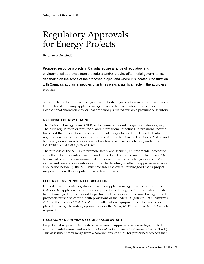# Regulatory Approvals for Energy Projects

By Shawn Denstedt

Proposed resource projects in Canada require a range of regulatory and environmental approvals from the federal and/or provincial/territorial governments, depending on the scope of the proposed project and where it is located. Consultation with Canada's aboriginal peoples oftentimes plays a significant role in the approvals process.

Since the federal and provincial governments share jurisdiction over the environment, federal legislation may apply to energy projects that have inter‐provincial or international characteristics, or that are wholly situated within a province or territory.

## **NATIONAL ENERGY BOARD**

The National Energy Board (NEB) is the primary federal energy regulatory agency. The NEB regulates inter‐provincial and international pipelines, international power lines, and the importation and exportation of energy to and from Canada. It also regulates onshore and offshore development in the Northwest Territories, Yukon and Nunavut, as well as offshore areas not within provincial jurisdiction, under the *Canadian Oil and Gas Operations Act*.

The purpose of the NEB is to promote safety and security, environmental protection, and efficient energy infrastructure and markets in the Canadian "public interest" (a balance of economic, environmental and social interests that changes as society's values and preferences evolve over time). In deciding whether to approve an energy application before it, the NEB must consider the overall public good that a project may create as well as its potential negative impacts.

## **FEDERAL ENVIRONMENT LEGISLATION**

Federal environmental legislation may also apply to energy projects. For example, the *Fisheries Act* applies where a proposed project would negatively affect fish and fish habitat managed by the federal Department of Fisheries and Oceans. Energy project proposals must also comply with provisions of the federal *Migratory Birds Convention Act* and the *Species at Risk Act*. Additionally, where equipment is to be erected or placed in navigable waters, approval under the *Navigable Waters Protection Act* may be required.

## *CANADIAN ENVIRONMENTAL ASSESSMENT ACT*

Projects that require certain federal government approvals may also trigger a federal environmental assessment under the *Canadian Environmental Assessment Act* (CEAA). This assessment may range from a comprehensive study for prescribed projects that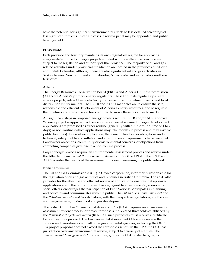have the potential for significant environmental effects to less detailed screenings of less significant projects. In certain cases, a review panel may be appointed and public hearings held.

## **PROVINCIAL**

Each province and territory maintains its own regulatory regime for approving energy‐related projects. Energy projects situated wholly within one province are subject to the legislation and authority of that province. The majority of oil and gasrelated activities under provincial jurisdiction are located in the provinces of Alberta and British Columbia, although there are also significant oil and gas activities in Saskatchewan, Newfoundland and Labrador, Nova Scotia and in Canada's northern territories.

## **Alberta**

The Energy Resources Conservation Board (ERCB) and Alberta Utilities Commission (AUC) are Alberta's primary energy regulators. These tribunals regulate upstream energy projects, intra‐Alberta electricity transmission and pipeline projects, and local distribution utility matters. The ERCB and AUC's mandates are to ensure the safe, responsible and efficient development of Alberta's energy resources, and to regulate the pipelines and transmission lines required to move these resources to market.

All significant steps in proposed energy projects require ERCB and/or AUC approval. Where a project is approved, a licence, order or permit is issued. Energy development applications are processed as either routine (generally with a turnaround time of 1 to 2 days) or non‐routine (which applications may take months to process and may involve public hearings). In a routine application, there are no landowner obligations and all technical, safety, public consultation and environmental requirements have been met. Landowner objections, community or environmental concerns, or objections from competing companies give rise to a non‐routine process.

Larger energy projects require an environmental assessment process and review under the Alberta *Environmental Protection and Enhancement Act* (the EPEA)*.* The ERCB and AUC consider the results of the assessment process in assessing the public interest.

## **British Columbia**

The Oil and Gas Commission (OGC), a Crown corporation, is primarily responsible for the regulation of oil and gas activities and pipelines in British Columbia. The OGC also provides for the effective and efficient review of applications; ensures that approved applications are in the public interest, having regard to environmental, economic and social effects; encourages the participation of First Nations; participates in planning; and educates and communicates with the public. The *Oil and Gas Commission Act* and the *Petroleum and Natural Gas Act*, along with their respective regulations, are the key statutes governing upstream oil and gas development.

The British Columbia *Environmental Assessment Act* (EAA) requires an environmental assessment review process for project proposals that exceed thresholds established by the *Reviewable Projects Regulation* (RPR). All such proposals must receive a certificate before they may proceed. The Environmental Assessment Office may review the process and co‐ordinates with all other governmental agencies, including the OGC. If a project proposal does not exceed the thresholds set out in the RPR, the OGC has jurisdiction over any environmental review, subject to a variety of statutes. The *Environmental Management Act,* for example, guides the OGC in discharging its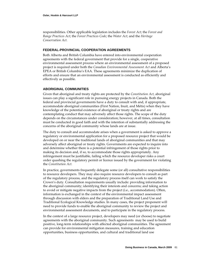responsibilities. Other applicable legislation includes the *Forest Act*; the *Forest and Range Practices Act*; the *Forest Practices Code*; the *Water Act*; and the *Heritage Conservation Act*.

## **FEDERAL-PROVINCIAL COOPERATION AGREEMENTS**

Both Alberta and British Columbia have entered into environmental cooperation agreements with the federal government that provide for a single, cooperative environmental assessment process where an environmental assessment of a proposed project is required under both the *Canadian Environmental Assessment Act* and Alberta's EPEA or British Columbia's EAA. These agreements minimize the duplication of efforts and ensure that an environmental assessment is conducted as efficiently and effectively as possible.

## **ABORIGINAL COMMUNITIES**

Given that aboriginal and treaty rights are protected by the *Constitution Act*, aboriginal issues can play a significant role in pursuing energy projects in Canada. Both the federal and provincial governments have a duty to consult with and, if appropriate, accommodate aboriginal communities (First Nation, Inuit, and Métis) when they have knowledge of the potential existence of aboriginal or treaty rights and are contemplating conduct that may adversely affect those rights. The scope of the duty depends on the circumstances under consideration; however, at all times, consultation must be conducted in good faith and with the intention of substantially addressing the concerns of the aboriginal community whose lands are at issue.

The duty to consult and accommodate arises when a government is asked to approve a regulatory or environmental application for a proposed resource project that would be developed on or near the traditional lands of aboriginal communities and that may adversely affect aboriginal or treaty rights. Governments are expected to inquire into and determine whether there is a potential infringement of those rights prior to making its decision and, if so, to accommodate those rights appropriately. Any infringement must be justifiable, failing which the resource developer risks a court order quashing the regulatory permit or licence issued by the government for violating the *Constitution Act.*

In practice, governments frequently delegate some (or all) consultative responsibilities to resource developers. They may also require resource developers to consult as part of the regulatory process, and the regulatory process itself can work to satisfy the Crown's duty. Consultation requirements usually include: providing information to the aboriginal community; identifying their interests and concerns; and taking action to avoid or mitigate negative impacts from the project (i.e., accommodation). Often, information is exchanged in the context of the environmental impact assessment through discussion with elders and the preparation of Traditional Land Use and Traditional Ecological Knowledge studies. In many cases, the project proponent will need to provide funds to enable the aboriginal community to review the project and environmental assessment documents, and to participate in the regulatory process.

In the context of a large resource project, developers may need (or choose) to negotiate agreements with the aboriginal community. Such agreements may be used to build positive, long‐term relationships with affected aboriginal communities. The agreement can provide for environmental mitigation measures, training and education opportunities, business opportunities, and cultural and traditional land use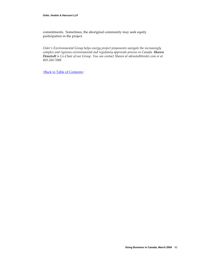commitments. Sometimes, the aboriginal community may seek equity participation in the project.

*Osler's Environmental Group helps energy project proponents navigate the increasingly complex and rigorous environmental and regulatory approvals process in Canada. Shawn Denstedt is Co‐Chair of our Group. You can contact Shawn at sdenstedt@osler.com or at 403.260.7088.*

<Back to Table of [Contents>](#page-2-0)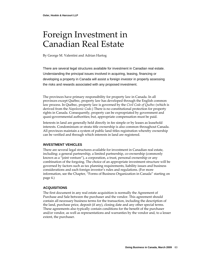## Foreign Investment in Canadian Real Estate

By George M. Valentini and Adrian Hartog

There are several legal structures available for investment in Canadian real estate. Understanding the principal issues involved in acquiring, leasing, financing or developing a property in Canada will assist a foreign investor in properly assessing the risks and rewards associated with any proposed investment.

The provinces have primary responsibility for property law in Canada. In all provinces except Québec, property law has developed through the English common law process. In Québec, property law is governed by the *Civil Code of Québec* (which is derived from the *Napoleonic Code*.) There is no constitutional protection for property rights in Canada. Consequently, property can be expropriated by government and quasi‐governmental authorities; but, appropriate compensation must be paid.

Interests in land are generally held directly in fee simple or by leases as leasehold interests. Condominium or strata title ownership is also common throughout Canada. All provinces maintain a system of public land titles registration whereby ownership can be verified and through which interests in land are registered.

## **INVESTMENT VEHICLES**

There are several legal structures available for investment in Canadian real estate, including: a general partnership, a limited partnership, co‐ownership (commonly known as a "joint venture"), a corporation, a trust, personal ownership or any combination of the forgoing. The choice of an appropriate investment structure will be governed by factors such as tax planning requirements, liability issues and business considerations and each foreign investor's rules and regulations. (For more information, see the Chapter, "Forms of Business Organization in Canada" starting on page [4](#page-6-0).)

## **ACQUISITIONS**

The first document in any real estate acquisition is normally the Agreement of Purchase and Sale between the purchaser and the vendor. This agreement should contain all necessary business terms for the transaction, including the description of the land, purchase price, deposit (if any), closing date and any other special terms. These agreements also typically contain conditions for the benefit of the purchaser and/or vendor, as well as representations and warranties by the vendor and, to a lesser extent, the purchaser.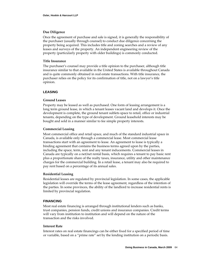## **Due Diligence**

Once the agreement of purchase and sale is signed, it is generally the responsibility of the purchaser (usually through counsel) to conduct due diligence concerning the property being acquired. This includes title and zoning searches and a review of any leases and surveys of the property. An independent engineering review of the property (particularly property with older buildings) is commonly conducted.

## **Title Insurance**

The purchaser's counsel may provide a title opinion to the purchaser, although title insurance similar to that available in the United States is available throughout Canada and is quite commonly obtained in real estate transactions. With title insurance, the purchaser relies on the policy for its confirmation of title, not on a lawyer's title opinion.

## **LEASING**

## **Ground Leases**

Property may be leased as well as purchased. One form of leasing arrangement is a long term ground lease, in which a tenant leases vacant land and develops it. Once the development is complete, the ground tenant sublets space to retail, office or industrial tenants, depending on the type of development. Ground leasehold interests may be bought and sold in a manner similar to fee simple property interests.

## **Commercial Leasing**

Most commercial office and retail space, and much of the standard industrial space in Canada, is available only through a commercial lease. Most commercial lease transactions start with an agreement to lease. An agreement to lease is typically a binding agreement that contains the business terms agreed upon by the parties, including the space, term, rent and any tenant inducements. Commercial leases in Canada are typically on a net/net rental basis, which requires a tenant to pay basic rent plus a proportionate share of the realty taxes, insurance, utility and other maintenance charges for the commercial building. In a retail lease, a tenant may also be required to pay rent based on a percentage of its annual sales.

## **Residential Leasing**

Residential leases are regulated by provincial legislation. In some cases, the applicable legislation will override the terms of the lease agreement, regardless of the intention of the parties. In some provinces, the ability of the landlord to increase residential rents is limited by provincial regulation.

## **FINANCING**

Most real estate financing is arranged through institutional lenders such as banks, trust companies, pension funds, credit unions and insurance companies. Credit terms will vary from institution to institution and will depend on the nature of the transaction and the risks involved.

## **Interest Rate**

Interest rates on real estate financings can be either fixed for a specified period of time or variable, based on a "prime rate" set by the lending institution on a periodic basis.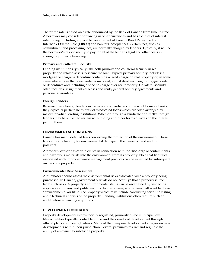The prime rate is based on a rate announced by the Bank of Canada from time to time. A borrower may consider borrowing in other currencies and has a choice of interest rate pricing, including applicable Government of Canada Bond Rates, the London Interbank Offered Rate (LIBOR) and bankers' acceptances. Certain fees, such as commitment and processing fees, are normally charged by lenders. Typically, it will be the borrower's responsibility to pay for all of the lender's legal and other costs in arranging property financing.

## **Primary and Collateral Security**

Lending institutions typically take both primary and collateral security in real property and related assets to secure the loan. Typical primary security includes: a mortgage or charge, a debenture containing a fixed charge on real property or, in some cases where more than one lender is involved, a trust deed securing mortgage bonds or debentures and including a specific charge over real property. Collateral security often includes: assignments of leases and rents, general security agreements and personal guarantees.

## **Foreign Lenders**

Because many foreign lenders in Canada are subsidiaries of the world's major banks, they typically participate by way of syndicated loans which are often arranged by major Canadian lending institutions. Whether through a syndicate or directly, foreign lenders may be subject to certain withholding and other forms of taxes on the interest paid to them.

## **ENVIRONMENTAL CONCERNS**

Canada has many detailed laws concerning the protection of the environment. These laws attribute liability for environmental damage to the owner of land and to polluters.

A property owner has certain duties in connection with the discharge of contaminants and hazardous materials into the environment from its property. Note that liabilities associated with improper waste management practices can be inherited by subsequent owners of a property.

#### **Environmental Risk Assessment**

A purchaser should assess the environmental risks associated with a property being purchased. In Canada, government officials do not "certify" that a property is free from such risks. A property's environmental status can be ascertained by inspecting applicable company and public records. In many cases, a purchaser will want to do an "environmental audit" of the property which may include conducting scientific testing and a technical analysis of the property. Lending institutions often require such an audit before advancing any funds.

## **DEVELOPMENT CONTROLS**

Property development is provincially regulated, primarily at the municipal level. Municipalities typically control land use and the density of development through official plans and zoning by‐laws. Many of them impose development charges on new developments within their jurisdiction. Several provinces restrict and regulate the ability of an owner to subdivide property.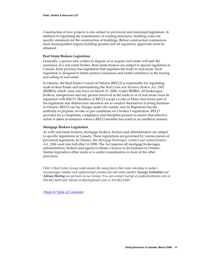Construction of new projects is also subject to provincial and municipal legislation. In addition to regulating the maintenance of existing structures, building codes set specific standards for the construction of buildings. Before construction commences, most municipalities require building permits and all regulatory approvals must be obtained.

## **Real Estate Brokers Legislation**

Generally, a person who wishes to dispose of or acquire real estate will seek the assistance of a real estate broker. Real estate brokers are subject to special regulation in Canada. Each province has legislation that regulates the trade in real estate. Such regulation is designed to better protect consumers and instill confidence in the buying and selling of real estate.

In Ontario, the Real Estate Council of Ontario (RECO) is responsible for regulating trade in Real Estate and administering the *Real Estate and Business Brokers Act, 2002* (REBBA) which came into force on March 31, 2006. Under REBBA, all brokerages, brokers, salespersons and any person involved in the trade in or of real estate must be registered with RECO. Members of RECO accept a Code of Ethics that forms part of the legislation and defines how members are to conduct themselves in doing business in Ontario. RECO can lay charges under the statute, and its Registrant has the authority to propose, revoke or put conditions on a broker's registration. RECO provides for a complaints, compliance and discipline process to ensure that effective action is taken in instances where a RECO member has acted in an unethical manner.

## **Mortgage Brokers Legislation**

As with real estate brokers, mortgage brokers, lenders and administrators are subject to specific regulations in Canada. These regulations are governed by various pieces of provincial legislation. In Ontario, the *Mortgage Brokerages, Lenders and Administrators Act, 2006* went into full effect in 2008. The Act requires all mortgage brokerages, administrators, brokers and agents to obtain a licence to do business in Ontario. Similar legislation either exists or is under consideration in most of the other provinces.

*Osler's Real Estate Group understands the many forces that come into play in today's increasingly complex and sophisticated commercial real estate market. George Valentini and Adrian Hartog are partners in our Group. You can contact George at gvalentini@osler.com or 416.862.6649 and Adrian at ahartog@osler.com or 416.862.6543.*

<Back to Table of [Contents>](#page-2-0)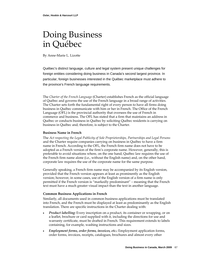## Doing Business in Québec

By Anne‐Marie L. Lizotte

Québec's distinct language, culture and legal system present unique challenges for foreign entities considering doing business in Canada's second largest province. In particular, foreign businesses interested in the Québec marketplace must adhere to the province's French language requirements.

The *Charter of the French Language* (Charter) establishes French as the official language of Québec and governs the use of the French language in a broad range of activities. The Charter sets forth the fundamental right of every person to have all firms doing business in Québec communicate with him or her in French. The Office of the French Language (OFL) is the provincial authority that oversees the use of French in commerce and business. The OFL has stated that a firm that maintains an address in Québec or conducts business in Québec by soliciting Québec residents is carrying on business in Québec and, therefore, is subject to the Charter.

## **Business Name in French**

The *Act respecting the Legal Publicity of Sole Proprietorships, Partnerships and Legal Persons* and the Charter require companies carrying on business in Québec to have a firm name in French. According to the OFL, the French firm name does not have to be adopted as a French version of the firm's corporate name. However, generally, this is preferable to avoid situations where, on the one hand, Québec law requires the use of the French firm name alone (i.e., without the English name) and, on the other hand, corporate law requires the use of the corporate name for the same purpose.

Generally speaking, a French firm name may be accompanied by its English version, provided that the French version appears at least as prominently as the English version; however, in some cases, use of the English version of a firm name is only permitted if the French version is "markedly predominant" – meaning that the French text must have a much greater visual impact than the text in another language.

## **Common Business Applications in French**

Similarly, all documents used in common business applications must be translated into French, and the French must be displayed at least as predominantly as the English translation. There are specific instructions in the Charter dealing with:

- *Product labelling:* Every inscription on a product, its container or wrapping, or on a leaflet, brochure or card supplied with it, including the directions for use and warranty certificate, must be drafted in French. This requirement extends to labels containing, for example, washing instructions and sizes.
- *Employment forms, order forms, invoices, etc.***:** Employment application forms, order forms, invoices, receipts, catalogues, brochures and almost every other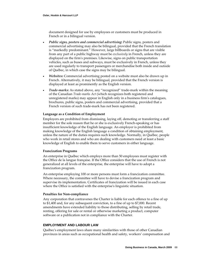document designed for use by employees or customers must be produced in French or in a bilingual version.

- *Public signs, posters and commercial advertising***:** Public signs, posters and commercial advertising may also be bilingual, provided that the French translation is "markedly predominant." However, large billboards or signs that are visible from any part of a public highway must be *exclusively* in French, unless they are displayed on the firmʹs premises. Likewise, signs on public transportation vehicles, such as buses and subways, must be exclusively in French, unless they are used regularly to transport passengers or merchandise both inside and outside of Québec, in which case the signs may be bilingual.
- *Websites***:** Commercial advertising posted on a website must also be drawn up in French. Alternatively, it may be bilingual, provided that the French version is displayed at least as prominently as the English version.
- *Trade‐marks***:** As stated above, any "recognized" trade‐mark within the meaning of the Canadian *Trade‐marks Act* (which recognizes both registered and unregistered marks) may appear in English only in a business firmʹs catalogues, brochures, public signs, posters and commercial advertising, provided that a French version of such trade‐mark has not been registered.

## **Language as a Condition of Employment**

Employers are prohibited from dismissing, laying off, demoting or transferring a staff member for the sole reason that he or she is exclusively French-speaking or has insufficient knowledge of the English language. An employer is prohibited from making knowledge of the English language a condition of obtaining employment, unless the nature of the duties requires such knowledge. Normally, in Québec, people who work in retail stores and who are dealing with customers need at least a basic knowledge of English to enable them to serve customers in either language.

#### **Francization Programs**

An enterprise in Québec which employs more than 50 employees must register with the Office de la langue française. If the Office considers that the use of French is not generalized at all levels of the enterprise, the enterprise will have to adopt a francization program.

An enterprise employing 100 or more persons must form a francization committee. Where necessary, the committee will have to devise a francization program and supervise its implementation. Certificates of francization will be issued in each case where the Office is satisfied with the enterprise's linguistic situation.

#### **Penalties for Non‐compliance**

Any corporation that contravenes the Charter is liable for each offence to a fine of up to \$1,400 and, for any subsequent conviction, to a fine of up to \$7,000. Recent amendments have extended liability to those distributing, selling by retail trade, renting, offering for sale or rental or otherwise marketing a product, computer software or a publication not in compliance with the Charter.

## **EMPLOYMENT AND LABOUR LAW**

Québecʹs employment laws share many similarities with those of other Canadian provinces in areas such as occupational health and safety, workers' compensation and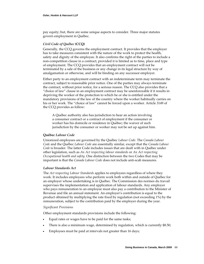pay equity; but, there are some unique aspects to consider. Three major statutes govern employment in Québec.

## *Civil Code of Québec* **(CCQ)**

Generally, the CCQ governs the employment contract. It provides that the employer has to take measures consistent with the nature of the work to protect the health, safety and dignity of the employee. It also confirms the right of the parties to include a non-competition clause in a contract, provided it is limited as to time, place and type of employment. The CCQ provides that an employment contract will not be terminated by a sale of the business or any change in its legal structure by way of amalgamation or otherwise, and will be binding on any successor employer.

Either party to an employment contract with an indeterminate term may terminate the contract, subject to reasonable prior notice. One of the parties may always terminate the contract, without prior notice, for a serious reason. The CCQ also provides that a "choice of law" clause in an employment contract may be unenforceable if it results in depriving the worker of the protection to which he or she is entitled under the mandatory provisions of the law of the country where the worker habitually carries on his or her work. The "choice of law" cannot be forced upon a worker. Article 3149 of the CCQ provides as follow:

 A Québec authority also has jurisdiction to hear an action involving a consumer contract or a contract of employment if the consumer or worker has his domicile or residence in Québec; the waiver of such jurisdiction by the consumer or worker may not be set up against him.

## **Québec** *Labour Code*

Unionized employees are governed by the Québec *Labour Code*. The *Canada Labour Code* and the Québec *Labour Code* are essentially similar, except that the *Canada Labour Code* is broader. The latter Code includes issues that are dealt with in Québec under other legislation, such as *An Act respecting labour standards* or *An Act respecting Occupational health and safety*. One distinction between the two Codes that may be important is that the *Canada Labour Code* does not include anti‐scab measures.

## *Labour Standards Act*

The *Act respecting Labour Standards* applies to employees regardless of where they work. It includes employees who perform work both within and outside of Québec for an employer whose undertaking is in Québec. The Commission des normes du travail supervises the implementation and application of labour standards. Any employer who pays remuneration to an employee must also pay a contribution to the Minister of Revenue and file an annual statement. An employerʹs contribution is equal to the product obtained by multiplying the rate fixed by regulation (not exceeding 1%) by the remuneration, subject to the contribution paid by the employer during the year.

#### *Significant Provisions*

Other employment standards provisions include the following:

- Equal rates or wages have to be paid for the same tasks;
- There is also a minimum wage, determined by regulation, which is currently \$8.50;
- Employees must be paid at intervals not greater than 16 days;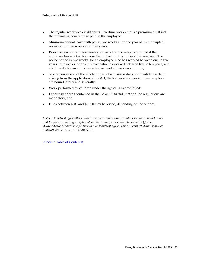- The regular work week is 40 hours. Overtime work entails a premium of 50% of the prevailing hourly wage paid to the employee;
- Minimum annual leave with pay is two weeks after one year of uninterrupted service and three weeks after five years;
- Prior written notice of termination or layoff of one week is required if the employee has worked for more than three months but less than one year. The notice period is two weeks for an employee who has worked between one to five years; four weeks for an employee who has worked between five to ten years; and eight weeks for an employee who has worked ten years or more;
- Sale or concession of the whole or part of a business does not invalidate a claim arising from the application of the Act; the former employer and new employer are bound jointly and severally;
- Work performed by children under the age of 14 is prohibited;
- Labour standards contained in the *Labour Standards Act* and the regulations are mandatory; and
- Fines between \$600 and \$6,000 may be levied, depending on the offence.

*Osler's Montreal office offers fully integrated services and seamless service in both French and English, providing exceptional service to companies doing business in Québec. Anne‐Marie Lizotte is a partner in our Montreal office. You can contact Anne‐Marie at amlizotte@osler.com or 514.904.5381.*

<Back to Table of [Contents>](#page-2-0)